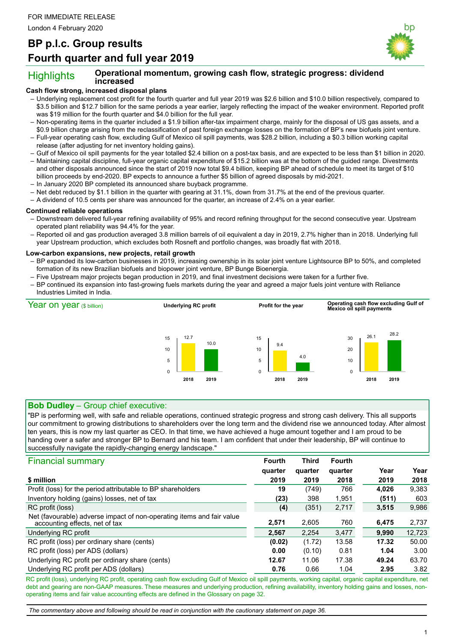London 4 February 2020

### **BP p.l.c. Group results**



# **Fourth quarter and full year 2019**

### Highlights **Operational momentum, growing cash flow, strategic progress: dividend increased**

### **Cash flow strong, increased disposal plans**

- Underlying replacement cost profit for the fourth quarter and full year 2019 was \$2.6 billion and \$10.0 billion respectively, compared to \$3.5 billion and \$12.7 billion for the same periods a year earlier, largely reflecting the impact of the weaker environment. Reported profit was \$19 million for the fourth quarter and \$4.0 billion for the full year.
- Non-operating items in the quarter included a \$1.9 billion after-tax impairment charge, mainly for the disposal of US gas assets, and a \$0.9 billion charge arising from the reclassification of past foreign exchange losses on the formation of BP's new biofuels joint venture.
- Full-year operating cash flow, excluding Gulf of Mexico oil spill payments, was \$28.2 billion, including a \$0.3 billion working capital release (after adjusting for net inventory holding gains).
- Gulf of Mexico oil spill payments for the year totalled \$2.4 billion on a post-tax basis, and are expected to be less than \$1 billion in 2020.
- Maintaining capital discipline, full-year organic capital expenditure of \$15.2 billion was at the bottom of the guided range. Divestments and other disposals announced since the start of 2019 now total \$9.4 billion, keeping BP ahead of schedule to meet its target of \$10 billion proceeds by end-2020. BP expects to announce a further \$5 billion of agreed disposals by mid-2021.
- In January 2020 BP completed its announced share buyback programme.
- Net debt reduced by \$1.1 billion in the quarter with gearing at 31.1%, down from 31.7% at the end of the previous quarter.
- A dividend of 10.5 cents per share was announced for the quarter, an increase of 2.4% on a year earlier.

#### **Continued reliable operations**

- Downstream delivered full-year refining availability of 95% and record refining throughput for the second consecutive year. Upstream operated plant reliability was 94.4% for the year.
- Reported oil and gas production averaged 3.8 million barrels of oil equivalent a day in 2019, 2.7% higher than in 2018. Underlying full year Upstream production, which excludes both Rosneft and portfolio changes, was broadly flat with 2018.

#### **Low-carbon expansions, new projects, retail growth**

- BP expanded its low-carbon businesses in 2019, increasing ownership in its solar joint venture Lightsource BP to 50%, and completed formation of its new Brazilian biofuels and biopower joint venture, BP Bunge Bioenergia.
- Five Upstream major projects began production in 2019, and final investment decisions were taken for a further five.
- BP continued its expansion into fast-growing fuels markets during the year and agreed a major fuels joint venture with Reliance Industries Limited in India.



### **Bob Dudley** – Group chief executive:

"BP is performing well, with safe and reliable operations, continued strategic progress and strong cash delivery. This all supports our commitment to growing distributions to shareholders over the long term and the dividend rise we announced today. After almost ten years, this is now my last quarter as CEO. In that time, we have achieved a huge amount together and I am proud to be handing over a safer and stronger BP to Bernard and his team. I am confident that under their leadership, BP will continue to successfully navigate the rapidly-changing energy landscape."

| <b>Financial summary</b>                                                                                | <b>Fourth</b> | <b>Third</b> | <b>Fourth</b> |       |        |
|---------------------------------------------------------------------------------------------------------|---------------|--------------|---------------|-------|--------|
|                                                                                                         | quarter       | quarter      | quarter       | Year  | Year   |
| \$ million                                                                                              | 2019          | 2019         | 2018          | 2019  | 2018   |
| Profit (loss) for the period attributable to BP shareholders                                            | 19            | (749)        | 766           | 4.026 | 9,383  |
| Inventory holding (gains) losses, net of tax                                                            | (23)          | 398          | 1,951         | (511) | 603    |
| RC profit (loss)                                                                                        | (4)           | (351)        | 2,717         | 3,515 | 9,986  |
| Net (favourable) adverse impact of non-operating items and fair value<br>accounting effects, net of tax | 2.571         | 2,605        | 760           | 6.475 | 2,737  |
| Underlying RC profit                                                                                    | 2.567         | 2,254        | 3,477         | 9.990 | 12,723 |
| RC profit (loss) per ordinary share (cents)                                                             | (0.02)        | (1.72)       | 13.58         | 17.32 | 50.00  |
| RC profit (loss) per ADS (dollars)                                                                      | 0.00          | (0.10)       | 0.81          | 1.04  | 3.00   |
| Underlying RC profit per ordinary share (cents)                                                         | 12.67         | 11.06        | 17.38         | 49.24 | 63.70  |
| Underlying RC profit per ADS (dollars)                                                                  | 0.76          | 0.66         | 1.04          | 2.95  | 3.82   |

RC profit (loss), underlying RC profit, operating cash flow excluding Gulf of Mexico oil spill payments, working capital, organic capital expenditure, net debt and gearing are non-GAAP measures. These measures and underlying production, refining availability, inventory holding gains and losses, nonoperating items and fair value accounting effects are defined in the Glossary on page 32.

*The commentary above and following should be read in conjunction with the cautionary statement on page 36.*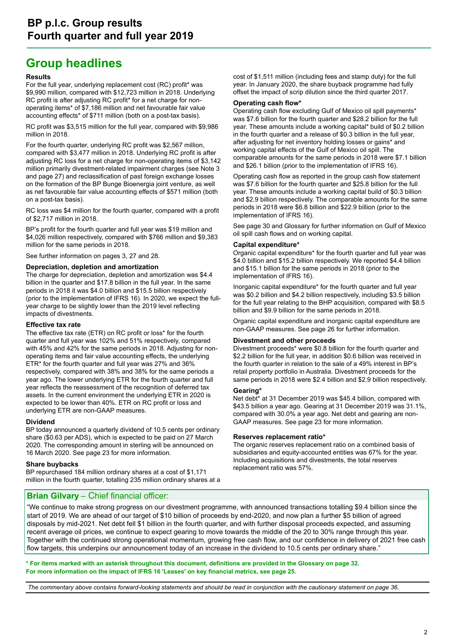# **Group headlines**

#### **Results**

For the full year, underlying replacement cost (RC) profit\* was \$9,990 million, compared with \$12,723 million in 2018. Underlying RC profit is after adjusting RC profit\* for a net charge for nonoperating items\* of \$7,186 million and net favourable fair value accounting effects\* of \$711 million (both on a post-tax basis).

RC profit was \$3,515 million for the full year, compared with \$9,986 million in 2018.

For the fourth quarter, underlying RC profit was \$2,567 million, compared with \$3,477 million in 2018. Underlying RC profit is after adjusting RC loss for a net charge for non-operating items of \$3,142 million primarily divestment-related impairment charges (see Note 3 and page 27) and reclassification of past foreign exchange losses on the formation of the BP Bunge Bioenergia joint venture, as well as net favourable fair value accounting effects of \$571 million (both on a post-tax basis).

RC loss was \$4 million for the fourth quarter, compared with a profit of \$2,717 million in 2018.

BP's profit for the fourth quarter and full year was \$19 million and \$4,026 million respectively, compared with \$766 million and \$9,383 million for the same periods in 2018.

See further information on pages 3, 27 and 28.

#### **Depreciation, depletion and amortization**

The charge for depreciation, depletion and amortization was \$4.4 billion in the quarter and \$17.8 billion in the full year. In the same periods in 2018 it was \$4.0 billion and \$15.5 billion respectively (prior to the implementation of IFRS 16). In 2020, we expect the fullyear charge to be slightly lower than the 2019 level reflecting impacts of divestments.

#### **Effective tax rate**

The effective tax rate (ETR) on RC profit or loss\* for the fourth quarter and full year was 102% and 51% respectively, compared with 45% and 42% for the same periods in 2018. Adjusting for nonoperating items and fair value accounting effects, the underlying ETR\* for the fourth quarter and full year was 27% and 36% respectively, compared with 38% and 38% for the same periods a year ago. The lower underlying ETR for the fourth quarter and full year reflects the reassessment of the recognition of deferred tax assets. In the current environment the underlying ETR in 2020 is expected to be lower than 40%. ETR on RC profit or loss and underlying ETR are non-GAAP measures.

#### **Dividend**

BP today announced a quarterly dividend of 10.5 cents per ordinary share (\$0.63 per ADS), which is expected to be paid on 27 March 2020. The corresponding amount in sterling will be announced on 16 March 2020. See page 23 for more information.

#### **Share buybacks**

BP repurchased 184 million ordinary shares at a cost of \$1,171 million in the fourth quarter, totalling 235 million ordinary shares at a

cost of \$1,511 million (including fees and stamp duty) for the full year. In January 2020, the share buyback programme had fully offset the impact of scrip dilution since the third quarter 2017.

#### **Operating cash flow\***

Operating cash flow excluding Gulf of Mexico oil spill payments\* was \$7.6 billion for the fourth quarter and \$28.2 billion for the full year. These amounts include a working capital\* build of \$0.2 billion in the fourth quarter and a release of \$0.3 billion in the full year, after adjusting for net inventory holding losses or gains\* and working capital effects of the Gulf of Mexico oil spill. The comparable amounts for the same periods in 2018 were \$7.1 billion and \$26.1 billion (prior to the implementation of IFRS 16).

Operating cash flow as reported in the group cash flow statement was \$7.6 billion for the fourth quarter and \$25.8 billion for the full year. These amounts include a working capital build of \$0.3 billion and \$2.9 billion respectively. The comparable amounts for the same periods in 2018 were \$6.8 billion and \$22.9 billion (prior to the implementation of IFRS 16).

See page 30 and Glossary for further information on Gulf of Mexico oil spill cash flows and on working capital.

#### **Capital expenditure\***

Organic capital expenditure\* for the fourth quarter and full year was \$4.0 billion and \$15.2 billion respectively. We reported \$4.4 billion and \$15.1 billion for the same periods in 2018 (prior to the implementation of IFRS 16).

Inorganic capital expenditure\* for the fourth quarter and full year was \$0.2 billion and \$4.2 billion respectively, including \$3.5 billion for the full year relating to the BHP acquisition, compared with \$8.5 billion and \$9.9 billion for the same periods in 2018.

Organic capital expenditure and inorganic capital expenditure are non-GAAP measures. See page 26 for further information.

#### **Divestment and other proceeds**

Divestment proceeds\* were \$0.8 billion for the fourth quarter and \$2.2 billion for the full year, in addition \$0.6 billion was received in the fourth quarter in relation to the sale of a 49% interest in BP's retail property portfolio in Australia. Divestment proceeds for the same periods in 2018 were \$2.4 billion and \$2.9 billion respectively.

#### **Gearing\***

Net debt<sup>\*</sup> at 31 December 2019 was \$45.4 billion, compared with \$43.5 billion a year ago. Gearing at 31 December 2019 was 31.1%, compared with 30.0% a year ago. Net debt and gearing are non-GAAP measures. See page 23 for more information.

#### **Reserves replacement ratio\***

The organic reserves replacement ratio on a combined basis of subsidiaries and equity-accounted entities was 67% for the year. Including acquisitions and divestments, the total reserves replacement ratio was 57%.

### **Brian Gilvary** – Chief financial officer:

"We continue to make strong progress on our divestment programme, with announced transactions totalling \$9.4 billion since the start of 2019. We are ahead of our target of \$10 billion of proceeds by end-2020, and now plan a further \$5 billion of agreed disposals by mid-2021. Net debt fell \$1 billion in the fourth quarter, and with further disposal proceeds expected, and assuming recent average oil prices, we continue to expect gearing to move towards the middle of the 20 to 30% range through this year. Together with the continued strong operational momentum, growing free cash flow, and our confidence in delivery of 2021 free cash flow targets, this underpins our announcement today of an increase in the dividend to 10.5 cents per ordinary share."

**\* For items marked with an asterisk throughout this document, definitions are provided in the Glossary on page 32. For more information on the impact of IFRS 16 'Leases' on key financial metrics, see page 25.**

*The commentary above contains forward-looking statements and should be read in conjunction with the cautionary statement on page 36.*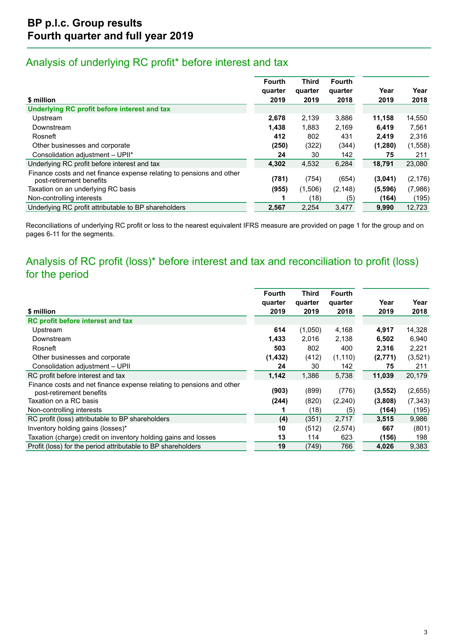### Analysis of underlying RC profit\* before interest and tax

| \$ million                                                                                       | Fourth<br>quarter<br>2019 | <b>Third</b><br>quarter<br>2019 | <b>Fourth</b><br>quarter<br>2018 | Year<br>2019 | Year<br>2018 |
|--------------------------------------------------------------------------------------------------|---------------------------|---------------------------------|----------------------------------|--------------|--------------|
| Underlying RC profit before interest and tax                                                     |                           |                                 |                                  |              |              |
| Upstream                                                                                         | 2.678                     | 2,139                           | 3,886                            | 11.158       | 14,550       |
| Downstream                                                                                       | 1.438                     | 1,883                           | 2,169                            | 6.419        | 7,561        |
| Rosneft                                                                                          | 412                       | 802                             | 431                              | 2.419        | 2,316        |
| Other businesses and corporate                                                                   | (250)                     | (322)                           | (344)                            | (1,280)      | (1,558)      |
| Consolidation adjustment - UPII*                                                                 | 24                        | 30                              | 142                              | 75           | 211          |
| Underlying RC profit before interest and tax                                                     | 4.302                     | 4,532                           | 6,284                            | 18,791       | 23,080       |
| Finance costs and net finance expense relating to pensions and other<br>post-retirement benefits | (781)                     | (754)                           | (654)                            | (3,041)      | (2, 176)     |
| Taxation on an underlying RC basis                                                               | (955)                     | (1,506)                         | (2, 148)                         | (5,596)      | (7,986)      |
| Non-controlling interests                                                                        |                           | (18)                            | (5)                              | (164)        | (195)        |
| Underlying RC profit attributable to BP shareholders                                             | 2.567                     | 2.254                           | 3.477                            | 9.990        | 12,723       |

Reconciliations of underlying RC profit or loss to the nearest equivalent IFRS measure are provided on page 1 for the group and on pages 6-11 for the segments.

### Analysis of RC profit (loss)\* before interest and tax and reconciliation to profit (loss) for the period

|                                                                                                  | <b>Fourth</b> | <b>Third</b> | <b>Fourth</b> |          |          |
|--------------------------------------------------------------------------------------------------|---------------|--------------|---------------|----------|----------|
|                                                                                                  | quarter       | quarter      | quarter       | Year     | Year     |
| \$ million                                                                                       | 2019          | 2019         | 2018          | 2019     | 2018     |
| <b>RC</b> profit before interest and tax                                                         |               |              |               |          |          |
| Upstream                                                                                         | 614           | (1,050)      | 4,168         | 4,917    | 14,328   |
| Downstream                                                                                       | 1,433         | 2,016        | 2,138         | 6,502    | 6,940    |
| Rosneft                                                                                          | 503           | 802          | 400           | 2,316    | 2,221    |
| Other businesses and corporate                                                                   | (1, 432)      | (412)        | (1, 110)      | (2,771)  | (3,521)  |
| Consolidation adjustment - UPII                                                                  | 24            | 30           | 142           | 75       | 211      |
| RC profit before interest and tax                                                                | 1,142         | 1,386        | 5,738         | 11,039   | 20,179   |
| Finance costs and net finance expense relating to pensions and other<br>post-retirement benefits | (903)         | (899)        | (776)         | (3, 552) | (2,655)  |
| Taxation on a RC basis                                                                           | (244)         | (820)        | (2,240)       | (3,808)  | (7, 343) |
| Non-controlling interests                                                                        |               | (18)         | (5)           | (164)    | (195)    |
| RC profit (loss) attributable to BP shareholders                                                 | (4)           | (351)        | 2,717         | 3,515    | 9,986    |
| Inventory holding gains (losses)*                                                                | 10            | (512)        | (2,574)       | 667      | (801)    |
| Taxation (charge) credit on inventory holding gains and losses                                   | 13            | 114          | 623           | (156)    | 198      |
| Profit (loss) for the period attributable to BP shareholders                                     | 19            | (749)        | 766           | 4,026    | 9,383    |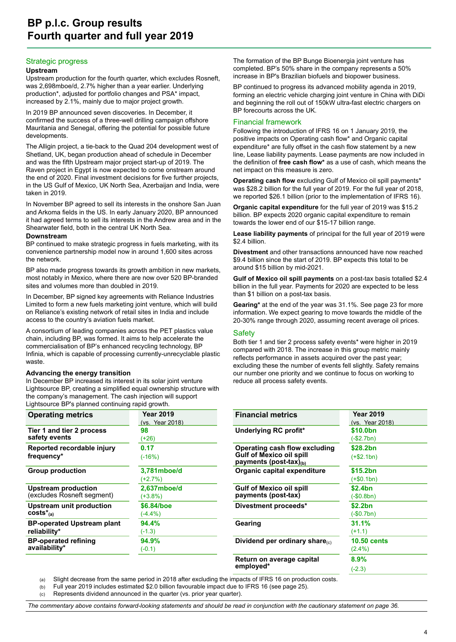#### Strategic progress

#### **Upstream**

Upstream production for the fourth quarter, which excludes Rosneft, was 2,698mboe/d, 2.7% higher than a year earlier. Underlying production\*, adjusted for portfolio changes and PSA\* impact, increased by 2.1%, mainly due to major project growth.

In 2019 BP announced seven discoveries. In December, it confirmed the success of a three-well drilling campaign offshore Mauritania and Senegal, offering the potential for possible future developments.

The Alligin project, a tie-back to the Quad 204 development west of Shetland, UK, began production ahead of schedule in December and was the fifth Upstream major project start-up of 2019. The Raven project in Egypt is now expected to come onstream around the end of 2020. Final investment decisions for five further projects, in the US Gulf of Mexico, UK North Sea, Azerbaijan and India, were taken in 2019.

In November BP agreed to sell its interests in the onshore San Juan and Arkoma fields in the US. In early January 2020, BP announced it had agreed terms to sell its interests in the Andrew area and in the Shearwater field, both in the central UK North Sea.

#### **Downstream**

BP continued to make strategic progress in fuels marketing, with its convenience partnership model now in around 1,600 sites across the network.

BP also made progress towards its growth ambition in new markets, most notably in Mexico, where there are now over 520 BP-branded sites and volumes more than doubled in 2019.

In December, BP signed key agreements with Reliance Industries Limited to form a new fuels marketing joint venture, which will build on Reliance's existing network of retail sites in India and include access to the country's aviation fuels market.

A consortium of leading companies across the PET plastics value chain, including BP, was formed. It aims to help accelerate the commercialisation of BP's enhanced recycling technology, BP Infinia, which is capable of processing currently-unrecyclable plastic waste.

#### **Advancing the energy transition**

In December BP increased its interest in its solar joint venture Lightsource BP, creating a simplified equal ownership structure with the company's management. The cash injection will support Lightsource BP's planned continuing rapid growth.

| <b>Operating metrics</b>                 | <b>Year 2019</b><br>(vs. Year 2018) | <b>Financial metrics</b>                                                                         | <b>Year 2019</b><br>(vs. Year 20) |
|------------------------------------------|-------------------------------------|--------------------------------------------------------------------------------------------------|-----------------------------------|
| Tier 1 and tier 2 process                | 98                                  | Underlying RC profit*                                                                            | \$10.0bn                          |
| safety events                            | $(+26)$                             |                                                                                                  | (-\$2.7bn)                        |
| Reported recordable injury<br>frequency* | 0.17<br>(-16%)                      | Operating cash flow excluding<br><b>Gulf of Mexico oil spill</b><br>payments (post-tax) $_{(b)}$ | \$28.2bn<br>$(+\$2.1bn)$          |
| <b>Group production</b>                  | 3,781mboe/d<br>$(+2.7%)$            | Organic capital expenditure                                                                      | \$15.2bn<br>$(+$0.1bn)$           |
| <b>Upstream production</b>               | 2,637mboe/d                         | <b>Gulf of Mexico oil spill</b>                                                                  | \$2.4bn                           |
| (excludes Rosneft segment)               | (+3.8%)                             | payments (post-tax)                                                                              | (-\$0.8bn)                        |
| Upstream unit production                 | \$6.84/boe                          | Divestment proceeds*                                                                             | \$2.2bn                           |
| $costs^*_{(a)}$                          | $(-4.4\%)$                          |                                                                                                  | $(-$0.7bn)$                       |
| <b>BP-operated Upstream plant</b>        | 94.4%                               | Gearing                                                                                          | 31.1%                             |
| reliability*                             | $(-1.3)$                            |                                                                                                  | $(+1.1)$                          |
| <b>BP-operated refining</b>              | 94.9%                               | Dividend per ordinary share $_{\text{(c)}}$                                                      | 10.50 cent                        |
| availability*                            | $(-0.1)$                            |                                                                                                  | $(2.4\%)$                         |
|                                          |                                     |                                                                                                  |                                   |

The formation of the BP Bunge Bioenergia joint venture has completed. BP's 50% share in the company represents a 50% increase in BP's Brazilian biofuels and biopower business.

BP continued to progress its advanced mobility agenda in 2019, forming an electric vehicle charging joint venture in China with DiDi and beginning the roll out of 150kW ultra-fast electric chargers on BP forecourts across the UK.

### Financial framework

Following the introduction of IFRS 16 on 1 January 2019, the positive impacts on Operating cash flow\* and Organic capital expenditure\* are fully offset in the cash flow statement by a new line, Lease liability payments. Lease payments are now included in the definition of **free cash flow\*** as a use of cash, which means the net impact on this measure is zero.

**Operating cash flow** excluding Gulf of Mexico oil spill payments\* was \$28.2 billion for the full year of 2019. For the full year of 2018, we reported \$26.1 billion (prior to the implementation of IFRS 16).

**Organic capital expenditure** for the full year of 2019 was \$15.2 billion. BP expects 2020 organic capital expenditure to remain towards the lower end of our \$15-17 billion range.

**Lease liability payments** of principal for the full year of 2019 were \$2.4 billion.

**Divestment** and other transactions announced have now reached \$9.4 billion since the start of 2019. BP expects this total to be around \$15 billion by mid-2021.

**Gulf of Mexico oil spill payments** on a post-tax basis totalled \$2.4 billion in the full year. Payments for 2020 are expected to be less than \$1 billion on a post-tax basis.

**Gearing\*** at the end of the year was 31.1%. See page 23 for more information. We expect gearing to move towards the middle of the 20-30% range through 2020, assuming recent average oil prices.

#### **Safety**

Both tier 1 and tier 2 process safety events\* were higher in 2019 compared with 2018. The increase in this group metric mainly reflects performance in assets acquired over the past year; excluding these the number of events fell slightly. Safety remains our number one priority and we continue to focus on working to reduce all process safety events.

| <b>Year 2019</b><br>(vs. Year 2018) | <b>Financial metrics</b>                                                                         | <b>Year 2019</b><br>(vs. Year 2018) |
|-------------------------------------|--------------------------------------------------------------------------------------------------|-------------------------------------|
| 98<br>$(+26)$                       | Underlying RC profit*                                                                            | \$10.0bn<br>$(-$2.7bn)$             |
| 0.17<br>(-16%)                      | Operating cash flow excluding<br><b>Gulf of Mexico oil spill</b><br>payments (post-tax) $_{(b)}$ | \$28.2bn<br>$(+\$2.1bn)$            |
| 3,781mboe/d<br>$(+2.7%)$            | Organic capital expenditure                                                                      | \$15.2bn<br>$(+$0.1bn)$             |
| 2,637mboe/d<br>$(+3.8%)$            | <b>Gulf of Mexico oil spill</b><br>payments (post-tax)                                           | \$2.4bn<br>(-\$0.8bn)               |
| \$6.84/boe<br>$(-4.4\%)$            | Divestment proceeds*                                                                             | \$2.2bn<br>$(-$0.7bn)$              |
| 94.4%<br>$(-1.3)$                   | Gearing                                                                                          | 31.1%<br>$(+1.1)$                   |
| 94.9%<br>$(-0.1)$                   | Dividend per ordinary share $_{(c)}$                                                             | <b>10.50 cents</b><br>$(2.4\%)$     |
|                                     | Return on average capital<br>employed*                                                           | 8.9%<br>$(-2.3)$                    |

(a) Slight decrease from the same period in 2018 after excluding the impacts of IFRS 16 on production costs.

(b) Full year 2019 includes estimated \$2.0 billion favourable impact due to IFRS 16 (see page 25).

(c) Represents dividend announced in the quarter (vs. prior year quarter).

*The commentary above contains forward-looking statements and should be read in conjunction with the cautionary statement on page 36.*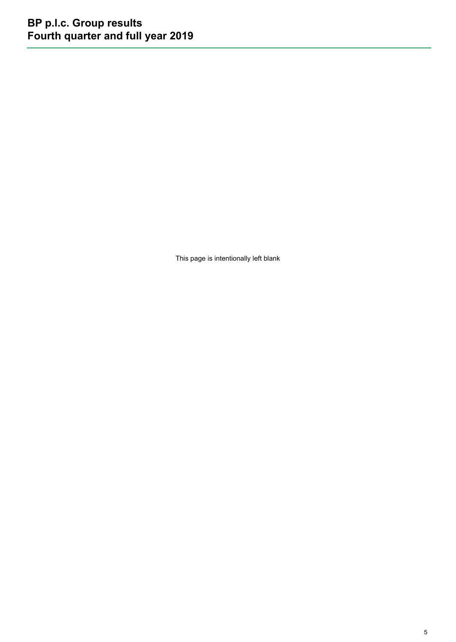This page is intentionally left blank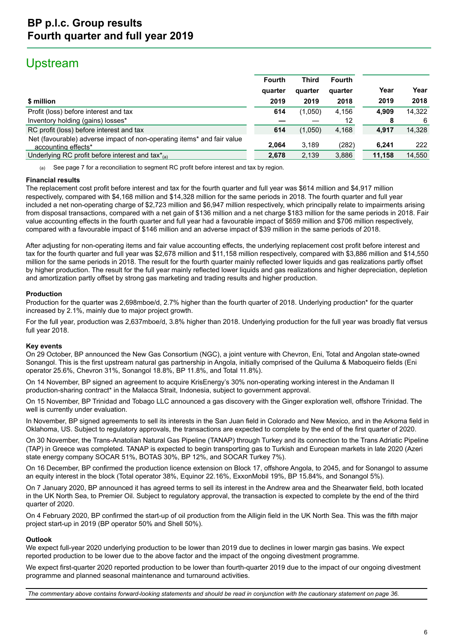# Upstream

|                                                                                               | Fourth  | <b>Third</b> | <b>Fourth</b> |        |        |
|-----------------------------------------------------------------------------------------------|---------|--------------|---------------|--------|--------|
|                                                                                               | quarter | quarter      | quarter       | Year   | Year   |
| \$ million                                                                                    | 2019    | 2019         | 2018          | 2019   | 2018   |
| Profit (loss) before interest and tax                                                         | 614     | (1,050)      | 4,156         | 4.909  | 14,322 |
| Inventory holding (gains) losses*                                                             |         |              | 12            | 8      | 6      |
| RC profit (loss) before interest and tax                                                      | 614     | (1,050)      | 4,168         | 4.917  | 14,328 |
| Net (favourable) adverse impact of non-operating items* and fair value<br>accounting effects* | 2.064   | 3.189        | (282)         | 6.241  | 222    |
| Underlying RC profit before interest and tax $r_{(a)}$                                        | 2,678   | 2,139        | 3,886         | 11,158 | 14,550 |

(a) See page 7 for a reconciliation to segment RC profit before interest and tax by region.

### **Financial results**

The replacement cost profit before interest and tax for the fourth quarter and full year was \$614 million and \$4,917 million respectively, compared with \$4,168 million and \$14,328 million for the same periods in 2018. The fourth quarter and full year included a net non-operating charge of \$2,723 million and \$6,947 million respectively, which principally relate to impairments arising from disposal transactions, compared with a net gain of \$136 million and a net charge \$183 million for the same periods in 2018. Fair value accounting effects in the fourth quarter and full year had a favourable impact of \$659 million and \$706 million respectively, compared with a favourable impact of \$146 million and an adverse impact of \$39 million in the same periods of 2018.

After adjusting for non-operating items and fair value accounting effects, the underlying replacement cost profit before interest and tax for the fourth quarter and full year was \$2,678 million and \$11,158 million respectively, compared with \$3,886 million and \$14,550 million for the same periods in 2018. The result for the fourth quarter mainly reflected lower liquids and gas realizations partly offset by higher production. The result for the full year mainly reflected lower liquids and gas realizations and higher depreciation, depletion and amortization partly offset by strong gas marketing and trading results and higher production.

### **Production**

Production for the quarter was 2,698mboe/d, 2.7% higher than the fourth quarter of 2018. Underlying production\* for the quarter increased by 2.1%, mainly due to major project growth.

For the full year, production was 2,637mboe/d, 3.8% higher than 2018. Underlying production for the full year was broadly flat versus full year 2018.

### **Key events**

On 29 October, BP announced the New Gas Consortium (NGC), a joint venture with Chevron, Eni, Total and Angolan state-owned Sonangol. This is the first upstream natural gas partnership in Angola, initially comprised of the Quiluma & Maboqueiro fields (Eni operator 25.6%, Chevron 31%, Sonangol 18.8%, BP 11.8%, and Total 11.8%).

On 14 November, BP signed an agreement to acquire KrisEnergy's 30% non-operating working interest in the Andaman II production-sharing contract\* in the Malacca Strait, Indonesia, subject to government approval.

On 15 November, BP Trinidad and Tobago LLC announced a gas discovery with the Ginger exploration well, offshore Trinidad. The well is currently under evaluation.

In November, BP signed agreements to sell its interests in the San Juan field in Colorado and New Mexico, and in the Arkoma field in Oklahoma, US. Subject to regulatory approvals, the transactions are expected to complete by the end of the first quarter of 2020.

On 30 November, the Trans-Anatolian Natural Gas Pipeline (TANAP) through Turkey and its connection to the Trans Adriatic Pipeline (TAP) in Greece was completed. TANAP is expected to begin transporting gas to Turkish and European markets in late 2020 (Azeri state energy company SOCAR 51%, BOTAS 30%, BP 12%, and SOCAR Turkey 7%).

On 16 December, BP confirmed the production licence extension on Block 17, offshore Angola, to 2045, and for Sonangol to assume an equity interest in the block (Total operator 38%, Equinor 22.16%, ExxonMobil 19%, BP 15.84%, and Sonangol 5%).

On 7 January 2020, BP announced it has agreed terms to sell its interest in the Andrew area and the Shearwater field, both located in the UK North Sea, to Premier Oil. Subject to regulatory approval, the transaction is expected to complete by the end of the third quarter of 2020.

On 4 February 2020, BP confirmed the start-up of oil production from the Alligin field in the UK North Sea. This was the fifth major project start-up in 2019 (BP operator 50% and Shell 50%).

### **Outlook**

We expect full-year 2020 underlying production to be lower than 2019 due to declines in lower margin gas basins. We expect reported production to be lower due to the above factor and the impact of the ongoing divestment programme.

We expect first-quarter 2020 reported production to be lower than fourth-quarter 2019 due to the impact of our ongoing divestment programme and planned seasonal maintenance and turnaround activities.

*The commentary above contains forward-looking statements and should be read in conjunction with the cautionary statement on page 36.*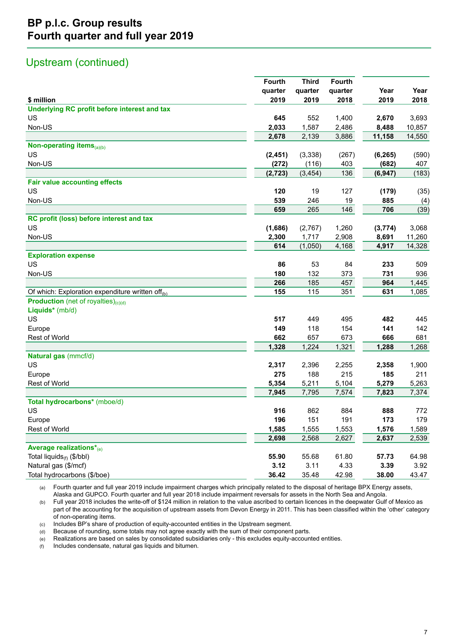### **BP p.l.c. Group results Fourth quarter and full year 2019**

### Upstream (continued)

|                                                        | <b>Fourth</b>   | <b>Third</b>    | <b>Fourth</b> |              |              |
|--------------------------------------------------------|-----------------|-----------------|---------------|--------------|--------------|
| \$ million                                             | quarter<br>2019 | quarter<br>2019 | quarter       | Year<br>2019 | Year<br>2018 |
| <b>Underlying RC profit before interest and tax</b>    |                 |                 | 2018          |              |              |
| US                                                     | 645             | 552             | 1,400         | 2,670        | 3,693        |
| Non-US                                                 | 2,033           | 1,587           | 2,486         | 8,488        | 10,857       |
|                                                        | 2,678           | 2,139           | 3,886         | 11,158       | 14,550       |
| <b>Non-operating items</b> (a)(b)                      |                 |                 |               |              |              |
| US                                                     | (2, 451)        | (3,338)         | (267)         | (6, 265)     | (590)        |
| Non-US                                                 | (272)           | (116)           | 403           | (682)        | 407          |
|                                                        | (2, 723)        | (3, 454)        | 136           | (6, 947)     | (183)        |
| <b>Fair value accounting effects</b>                   |                 |                 |               |              |              |
| US                                                     | 120             | 19              | 127           | (179)        | (35)         |
| Non-US                                                 | 539             | 246             | 19            | 885          | (4)          |
|                                                        | 659             | 265             | 146           | 706          | (39)         |
| RC profit (loss) before interest and tax               |                 |                 |               |              |              |
| US                                                     | (1,686)         | (2,767)         | 1,260         | (3, 774)     | 3,068        |
| Non-US                                                 | 2,300           | 1,717           | 2,908         | 8,691        | 11,260       |
|                                                        | 614             | (1,050)         | 4,168         | 4,917        | 14,328       |
| <b>Exploration expense</b>                             |                 |                 |               |              |              |
| US                                                     | 86              | 53              | 84            | 233          | 509          |
| Non-US                                                 | 180             | 132             | 373           | 731          | 936          |
|                                                        | 266             | 185             | 457           | 964          | 1,445        |
| Of which: Exploration expenditure written of $f_{(b)}$ | 155             | 115             | 351           | 631          | 1,085        |
| <b>Production</b> (net of royalties) $_{(c)(d)}$       |                 |                 |               |              |              |
| Liquids* (mb/d)                                        |                 |                 |               |              |              |
| US                                                     | 517             | 449             | 495           | 482          | 445          |
| Europe                                                 | 149             | 118             | 154           | 141          | 142          |
| <b>Rest of World</b>                                   | 662             | 657             | 673           | 666          | 681          |
|                                                        | 1,328           | 1,224           | 1,321         | 1,288        | 1,268        |
| Natural gas (mmcf/d)                                   |                 |                 |               |              |              |
| US                                                     | 2,317           | 2,396           | 2,255         | 2,358        | 1,900        |
| Europe                                                 | 275             | 188             | 215           | 185          | 211          |
| <b>Rest of World</b>                                   | 5,354           | 5,211           | 5,104         | 5,279        | 5,263        |
|                                                        | 7,945           | 7,795           | 7,574         | 7,823        | 7,374        |
| Total hydrocarbons* (mboe/d)                           |                 |                 |               |              |              |
| US                                                     | 916             | 862             | 884           | 888          | 772          |
| Europe                                                 | 196             | 151             | 191           | 173          | 179          |
| Rest of World                                          | 1,585           | 1,555           | 1,553         | 1,576        | 1,589        |
|                                                        | 2,698           | 2,568           | 2,627         | 2,637        | 2,539        |
| Average realizations*(e)                               |                 |                 |               |              |              |
| Total liquids <sub>(f)</sub> (\$/bbl)                  | 55.90           | 55.68           | 61.80         | 57.73        | 64.98        |
| Natural gas (\$/mcf)                                   | 3.12            | 3.11            | 4.33          | 3.39         | 3.92         |
| Total hydrocarbons (\$/boe)                            | 36.42           | 35.48           | 42.98         | 38.00        | 43.47        |

(a) Fourth quarter and full year 2019 include impairment charges which principally related to the disposal of heritage BPX Energy assets, Alaska and GUPCO. Fourth quarter and full year 2018 include impairment reversals for assets in the North Sea and Angola.

(b) Full year 2018 includes the write-off of \$124 million in relation to the value ascribed to certain licences in the deepwater Gulf of Mexico as part of the accounting for the acquisition of upstream assets from Devon Energy in 2011. This has been classified within the 'other' category of non-operating items.

(c) Includes BP's share of production of equity-accounted entities in the Upstream segment.

(d) Because of rounding, some totals may not agree exactly with the sum of their component parts.

(e) Realizations are based on sales by consolidated subsidiaries only - this excludes equity-accounted entities.

(f) Includes condensate, natural gas liquids and bitumen.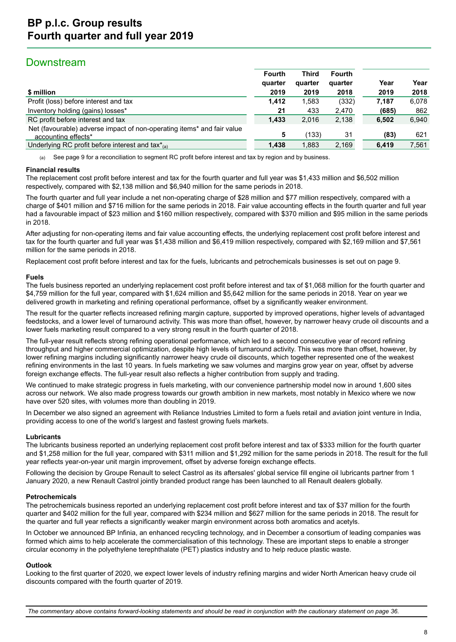### Downstream

|                                                                                               | <b>Fourth</b> | <b>Third</b> | <b>Fourth</b> |       |       |
|-----------------------------------------------------------------------------------------------|---------------|--------------|---------------|-------|-------|
|                                                                                               | quarter       | quarter      | quarter       | Year  | Year  |
| \$ million                                                                                    | 2019          | 2019         | 2018          | 2019  | 2018  |
| Profit (loss) before interest and tax                                                         | 1.412         | 1,583        | (332)         | 7.187 | 6,078 |
| Inventory holding (gains) losses*                                                             | 21            | 433          | 2,470         | (685) | 862   |
| RC profit before interest and tax                                                             | 1.433         | 2.016        | 2.138         | 6,502 | 6,940 |
| Net (favourable) adverse impact of non-operating items* and fair value<br>accounting effects* | 5             | (133)        | 31            | (83)  | 621   |
| Underlying RC profit before interest and tax $r_{(a)}$                                        | 1.438         | 1,883        | 2,169         | 6,419 | 7,561 |

(a) See page 9 for a reconciliation to segment RC profit before interest and tax by region and by business.

#### **Financial results**

The replacement cost profit before interest and tax for the fourth quarter and full year was \$1,433 million and \$6,502 million respectively, compared with \$2,138 million and \$6,940 million for the same periods in 2018.

The fourth quarter and full year include a net non-operating charge of \$28 million and \$77 million respectively, compared with a charge of \$401 million and \$716 million for the same periods in 2018. Fair value accounting effects in the fourth quarter and full year had a favourable impact of \$23 million and \$160 million respectively, compared with \$370 million and \$95 million in the same periods in 2018.

After adjusting for non-operating items and fair value accounting effects, the underlying replacement cost profit before interest and tax for the fourth quarter and full year was \$1,438 million and \$6,419 million respectively, compared with \$2,169 million and \$7,561 million for the same periods in 2018.

Replacement cost profit before interest and tax for the fuels, lubricants and petrochemicals businesses is set out on page 9.

#### **Fuels**

The fuels business reported an underlying replacement cost profit before interest and tax of \$1,068 million for the fourth quarter and \$4,759 million for the full year, compared with \$1,624 million and \$5,642 million for the same periods in 2018. Year on year we delivered growth in marketing and refining operational performance, offset by a significantly weaker environment.

The result for the quarter reflects increased refining margin capture, supported by improved operations, higher levels of advantaged feedstocks, and a lower level of turnaround activity. This was more than offset, however, by narrower heavy crude oil discounts and a lower fuels marketing result compared to a very strong result in the fourth quarter of 2018.

The full-year result reflects strong refining operational performance, which led to a second consecutive year of record refining throughput and higher commercial optimization, despite high levels of turnaround activity. This was more than offset, however, by lower refining margins including significantly narrower heavy crude oil discounts, which together represented one of the weakest refining environments in the last 10 years. In fuels marketing we saw volumes and margins grow year on year, offset by adverse foreign exchange effects. The full-year result also reflects a higher contribution from supply and trading.

We continued to make strategic progress in fuels marketing, with our convenience partnership model now in around 1,600 sites across our network. We also made progress towards our growth ambition in new markets, most notably in Mexico where we now have over 520 sites, with volumes more than doubling in 2019.

In December we also signed an agreement with Reliance Industries Limited to form a fuels retail and aviation joint venture in India, providing access to one of the world's largest and fastest growing fuels markets.

#### **Lubricants**

The lubricants business reported an underlying replacement cost profit before interest and tax of \$333 million for the fourth quarter and \$1,258 million for the full year, compared with \$311 million and \$1,292 million for the same periods in 2018. The result for the full year reflects year-on-year unit margin improvement, offset by adverse foreign exchange effects.

Following the decision by Groupe Renault to select Castrol as its aftersales' global service fill engine oil lubricants partner from 1 January 2020, a new Renault Castrol jointly branded product range has been launched to all Renault dealers globally.

#### **Petrochemicals**

The petrochemicals business reported an underlying replacement cost profit before interest and tax of \$37 million for the fourth quarter and \$402 million for the full year, compared with \$234 million and \$627 million for the same periods in 2018. The result for the quarter and full year reflects a significantly weaker margin environment across both aromatics and acetyls.

In October we announced BP Infinia, an enhanced recycling technology, and in December a consortium of leading companies was formed which aims to help accelerate the commercialisation of this technology. These are important steps to enable a stronger circular economy in the polyethylene terephthalate (PET) plastics industry and to help reduce plastic waste.

#### **Outlook**

Looking to the first quarter of 2020, we expect lower levels of industry refining margins and wider North American heavy crude oil discounts compared with the fourth quarter of 2019.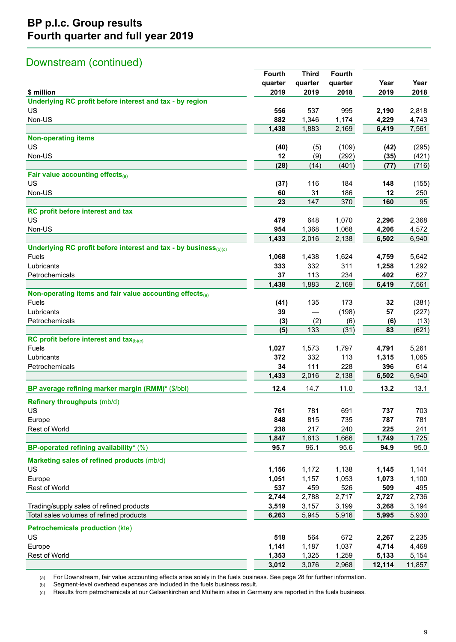### **BP p.l.c. Group results Fourth quarter and full year 2019**

### Downstream (continued)

|                                                                  | Fourth     | <b>Third</b> | <b>Fourth</b>  |              |                |
|------------------------------------------------------------------|------------|--------------|----------------|--------------|----------------|
|                                                                  | quarter    | quarter      | quarter        | Year         | Year           |
| \$ million                                                       | 2019       | 2019         | 2018           | 2019         | 2018           |
| Underlying RC profit before interest and tax - by region         |            |              |                |              |                |
| US                                                               | 556        | 537          | 995            | 2,190        | 2,818          |
| Non-US                                                           | 882        | 1,346        | 1,174          | 4,229        | 4,743          |
|                                                                  | 1,438      | 1,883        | 2,169          | 6,419        | 7,561          |
| <b>Non-operating items</b><br><b>US</b>                          |            |              |                |              |                |
| Non-US                                                           | (40)<br>12 | (5)<br>(9)   | (109)<br>(292) | (42)<br>(35) | (295)<br>(421) |
|                                                                  | (28)       | (14)         | (401)          | (77)         | (716)          |
| Fair value accounting effects $(a)$                              |            |              |                |              |                |
| <b>US</b>                                                        | (37)       | 116          | 184            | 148          | (155)          |
| Non-US                                                           | 60         | 31           | 186            | 12           | 250            |
|                                                                  | 23         | 147          | 370            | 160          | 95             |
| RC profit before interest and tax                                |            |              |                |              |                |
| <b>US</b>                                                        | 479        | 648          | 1,070          | 2,296        | 2,368          |
| Non-US                                                           | 954        | 1,368        | 1,068          | 4,206        | 4,572          |
|                                                                  | 1,433      | 2,016        | 2,138          | 6,502        | 6,940          |
| Underlying RC profit before interest and tax - by business(b)(c) |            |              |                |              |                |
| <b>Fuels</b>                                                     |            |              |                |              |                |
|                                                                  | 1,068      | 1,438        | 1,624          | 4,759        | 5,642          |
| Lubricants                                                       | 333        | 332          | 311            | 1,258        | 1,292          |
| Petrochemicals                                                   | 37         | 113          | 234            | 402          | 627            |
|                                                                  | 1,438      | 1,883        | 2,169          | 6,419        | 7,561          |
| Non-operating items and fair value accounting effects(a)         |            |              |                |              |                |
| <b>Fuels</b>                                                     | (41)       | 135          | 173            | 32           | (381)          |
| Lubricants                                                       | 39         |              | (198)          | 57           | (227)          |
| Petrochemicals                                                   | (3)        | (2)          | (6)            | (6)          | (13)           |
|                                                                  | (5)        | 133          | (31)           | 83           | (621)          |
| RC profit before interest and $\text{tax}_{(b)(c)}$              |            |              |                |              |                |
| <b>Fuels</b>                                                     | 1,027      | 1,573        | 1,797          | 4,791        | 5,261          |
| Lubricants                                                       | 372        | 332          | 113            | 1,315        | 1,065          |
| Petrochemicals                                                   | 34         | 111          | 228            | 396          | 614            |
|                                                                  | 1,433      | 2,016        | 2,138          | 6,502        | 6,940          |
| BP average refining marker margin (RMM)* (\$/bbl)                | 12.4       | 14.7         | 11.0           | 13.2         | 13.1           |
|                                                                  |            |              |                |              |                |
| <b>Refinery throughputs (mb/d)</b>                               |            |              |                |              |                |
| US.                                                              | 761        | 781          | 691            | 737          | 703            |
| Europe                                                           | 848        | 815          | 735            | 787          | 781            |
| Rest of World                                                    | 238        | 217          | 240            | 225          | 241            |
|                                                                  | 1,847      | 1,813        | 1,666          | 1,749        | 1,725          |
| <b>BP-operated refining availability*</b> (%)                    | 95.7       | 96.1         | 95.6           | 94.9         | 95.0           |
| Marketing sales of refined products (mb/d)                       |            |              |                |              |                |
| US                                                               | 1,156      | 1,172        | 1,138          | 1,145        | 1,141          |
| Europe                                                           | 1,051      | 1,157        | 1,053          | 1,073        | 1,100          |
| Rest of World                                                    | 537        | 459          | 526            | 509          | 495            |
|                                                                  | 2,744      | 2,788        | 2,717          | 2,727        | 2,736          |
| Trading/supply sales of refined products                         | 3,519      | 3,157        | 3,199          | 3,268        | 3,194          |
| Total sales volumes of refined products                          | 6,263      | 5,945        | 5,916          | 5,995        | 5,930          |
|                                                                  |            |              |                |              |                |
| <b>Petrochemicals production (kte)</b>                           |            |              |                |              |                |
| US                                                               | 518        | 564          | 672            | 2,267        | 2,235          |
| Europe                                                           | 1,141      | 1,187        | 1,037          | 4,714        | 4,468          |
| Rest of World                                                    | 1,353      | 1,325        | 1,259          | 5,133        | 5,154          |
|                                                                  | 3,012      | 3,076        | 2,968          | 12,114       | 11,857         |

(a) For Downstream, fair value accounting effects arise solely in the fuels business. See page 28 for further information.

(b) Segment-level overhead expenses are included in the fuels business result.

(c) Results from petrochemicals at our Gelsenkirchen and Mülheim sites in Germany are reported in the fuels business.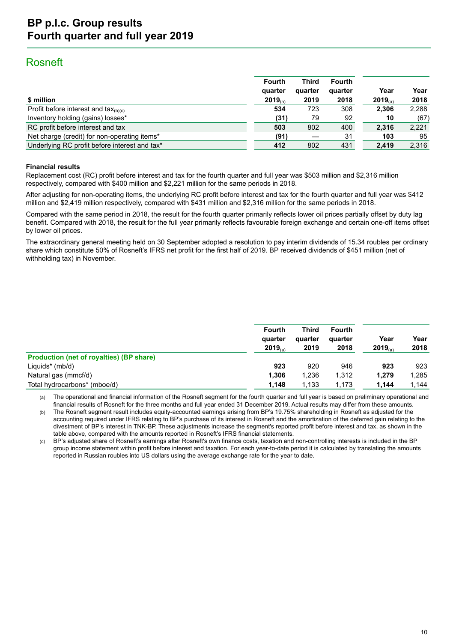### Rosneft

|                                                  | Fourth<br>auarter | <b>Third</b><br>quarter | <b>Fourth</b><br>auarter | Year         | Year  |
|--------------------------------------------------|-------------------|-------------------------|--------------------------|--------------|-------|
| \$ million                                       | $2019_{(a)}$      | 2019                    | 2018                     | $2019_{(a)}$ | 2018  |
| Profit before interest and $\text{tax}_{(b)(c)}$ | 534               | 723                     | 308                      | 2.306        | 2,288 |
| Inventory holding (gains) losses*                | (31)              | 79                      | 92                       | 10           | (67)  |
| RC profit before interest and tax                | 503               | 802                     | 400                      | 2.316        | 2,221 |
| Net charge (credit) for non-operating items*     | (91)              |                         | 31                       | 103          | 95    |
| Underlying RC profit before interest and tax*    | 412               | 802                     | 431                      | 2.419        | 2,316 |

### **Financial results**

Replacement cost (RC) profit before interest and tax for the fourth quarter and full year was \$503 million and \$2,316 million respectively, compared with \$400 million and \$2,221 million for the same periods in 2018.

After adjusting for non-operating items, the underlying RC profit before interest and tax for the fourth quarter and full year was \$412 million and \$2,419 million respectively, compared with \$431 million and \$2,316 million for the same periods in 2018.

Compared with the same period in 2018, the result for the fourth quarter primarily reflects lower oil prices partially offset by duty lag benefit. Compared with 2018, the result for the full year primarily reflects favourable foreign exchange and certain one-off items offset by lower oil prices.

The extraordinary general meeting held on 30 September adopted a resolution to pay interim dividends of 15.34 roubles per ordinary share which constitute 50% of Rosneft's IFRS net profit for the first half of 2019. BP received dividends of \$451 million (net of withholding tax) in November.

|                                                 | Fourth<br>quarter<br>$2019_{(a)}$ | <b>Third</b><br>quarter<br>2019 | <b>Fourth</b><br>auarter<br>2018 | Year<br>$2019_{(a)}$ | Year<br>2018 |
|-------------------------------------------------|-----------------------------------|---------------------------------|----------------------------------|----------------------|--------------|
| <b>Production (net of royalties) (BP share)</b> |                                   |                                 |                                  |                      |              |
| Liquids <sup>*</sup> (mb/d)                     | 923                               | 920                             | 946                              | 923                  | 923          |
| Natural gas (mmcf/d)                            | 1.306                             | 1,236                           | 1,312                            | 1.279                | 1,285        |
| Total hydrocarbons* (mboe/d)                    | 1.148                             | 1,133                           | 1,173                            | 1.144                | 1,144        |

(a) The operational and financial information of the Rosneft segment for the fourth quarter and full year is based on preliminary operational and financial results of Rosneft for the three months and full year ended 31 December 2019. Actual results may differ from these amounts.

The Rosneft segment result includes equity-accounted earnings arising from BP's 19.75% shareholding in Rosneft as adjusted for the accounting required under IFRS relating to BP's purchase of its interest in Rosneft and the amortization of the deferred gain relating to the divestment of BP's interest in TNK-BP. These adjustments increase the segment's reported profit before interest and tax, as shown in the table above, compared with the amounts reported in Rosneft's IFRS financial statements.

(c) BP's adjusted share of Rosneft's earnings after Rosneft's own finance costs, taxation and non-controlling interests is included in the BP group income statement within profit before interest and taxation. For each year-to-date period it is calculated by translating the amounts reported in Russian roubles into US dollars using the average exchange rate for the year to date.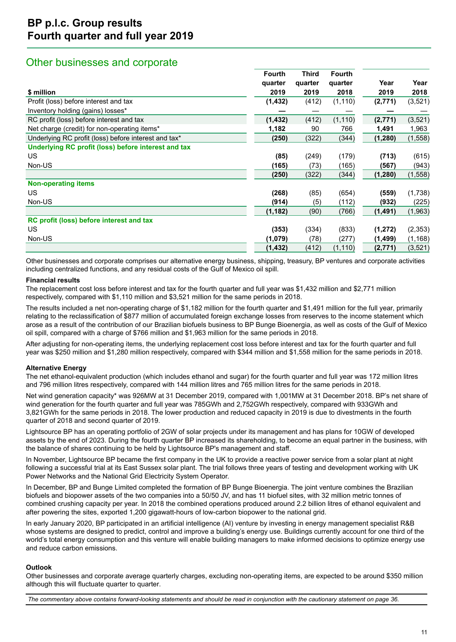### Other businesses and corporate

|                                                      | <b>Fourth</b> | <b>Third</b> | <b>Fourth</b> |          |          |
|------------------------------------------------------|---------------|--------------|---------------|----------|----------|
|                                                      | quarter       | quarter      | quarter       | Year     | Year     |
| \$ million                                           | 2019          | 2019         | 2018          | 2019     | 2018     |
| Profit (loss) before interest and tax                | (1, 432)      | (412)        | (1, 110)      | (2,771)  | (3,521)  |
| Inventory holding (gains) losses*                    |               |              |               |          |          |
| RC profit (loss) before interest and tax             | (1, 432)      | (412)        | (1, 110)      | (2,771)  | (3,521)  |
| Net charge (credit) for non-operating items*         | 1,182         | 90           | 766           | 1,491    | 1,963    |
| Underlying RC profit (loss) before interest and tax* | (250)         | (322)        | (344)         | (1, 280) | (1, 558) |
| Underlying RC profit (loss) before interest and tax  |               |              |               |          |          |
| US.                                                  | (85)          | (249)        | (179)         | (713)    | (615)    |
| Non-US                                               | (165)         | (73)         | (165)         | (567)    | (943)    |
|                                                      | (250)         | (322)        | (344)         | (1, 280) | (1, 558) |
| <b>Non-operating items</b>                           |               |              |               |          |          |
| US.                                                  | (268)         | (85)         | (654)         | (559)    | (1,738)  |
| Non-US                                               | (914)         | (5)          | (112)         | (932)    | (225)    |
|                                                      | (1, 182)      | (90)         | (766)         | (1,491)  | (1,963)  |
| RC profit (loss) before interest and tax             |               |              |               |          |          |
| US.                                                  | (353)         | (334)        | (833)         | (1, 272) | (2, 353) |
| Non-US                                               | (1,079)       | (78)         | (277)         | (1, 499) | (1, 168) |
|                                                      | (1, 432)      | (412)        | (1, 110)      | (2,771)  | (3,521)  |
|                                                      |               |              |               |          |          |

Other businesses and corporate comprises our alternative energy business, shipping, treasury, BP ventures and corporate activities including centralized functions, and any residual costs of the Gulf of Mexico oil spill.

#### **Financial results**

The replacement cost loss before interest and tax for the fourth quarter and full year was \$1,432 million and \$2,771 million respectively, compared with \$1,110 million and \$3,521 million for the same periods in 2018.

The results included a net non-operating charge of \$1,182 million for the fourth quarter and \$1,491 million for the full year, primarily relating to the reclassification of \$877 million of accumulated foreign exchange losses from reserves to the income statement which arose as a result of the contribution of our Brazilian biofuels business to BP Bunge Bioenergia, as well as costs of the Gulf of Mexico oil spill, compared with a charge of \$766 million and \$1,963 million for the same periods in 2018.

After adjusting for non-operating items, the underlying replacement cost loss before interest and tax for the fourth quarter and full year was \$250 million and \$1,280 million respectively, compared with \$344 million and \$1,558 million for the same periods in 2018.

### **Alternative Energy**

The net ethanol-equivalent production (which includes ethanol and sugar) for the fourth quarter and full year was 172 million litres and 796 million litres respectively, compared with 144 million litres and 765 million litres for the same periods in 2018.

Net wind generation capacity\* was 926MW at 31 December 2019, compared with 1,001MW at 31 December 2018. BP's net share of wind generation for the fourth quarter and full year was 785GWh and 2,752GWh respectively, compared with 933GWh and 3,821GWh for the same periods in 2018. The lower production and reduced capacity in 2019 is due to divestments in the fourth quarter of 2018 and second quarter of 2019.

Lightsource BP has an operating portfolio of 2GW of solar projects under its management and has plans for 10GW of developed assets by the end of 2023. During the fourth quarter BP increased its shareholding, to become an equal partner in the business, with the balance of shares continuing to be held by Lightsource BP's management and staff.

In November, Lightsource BP became the first company in the UK to provide a reactive power service from a solar plant at night following a successful trial at its East Sussex solar plant. The trial follows three years of testing and development working with UK Power Networks and the National Grid Electricity System Operator.

In December, BP and Bunge Limited completed the formation of BP Bunge Bioenergia. The joint venture combines the Brazilian biofuels and biopower assets of the two companies into a 50/50 JV, and has 11 biofuel sites, with 32 million metric tonnes of combined crushing capacity per year. In 2018 the combined operations produced around 2.2 billion litres of ethanol equivalent and after powering the sites, exported 1,200 gigawatt-hours of low-carbon biopower to the national grid.

In early January 2020, BP participated in an artificial intelligence (AI) venture by investing in energy management specialist R&B whose systems are designed to predict, control and improve a building's energy use. Buildings currently account for one third of the world's total energy consumption and this venture will enable building managers to make informed decisions to optimize energy use and reduce carbon emissions.

### **Outlook**

Other businesses and corporate average quarterly charges, excluding non-operating items, are expected to be around \$350 million although this will fluctuate quarter to quarter.

*The commentary above contains forward-looking statements and should be read in conjunction with the cautionary statement on page 36.*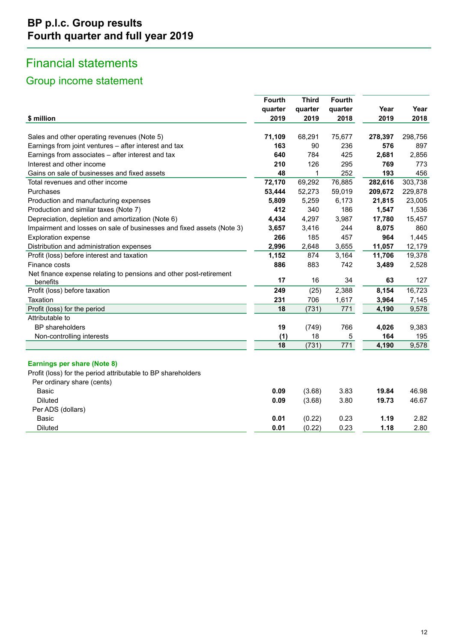# Financial statements

# Group income statement

|                                                                       | Fourth  | <b>Third</b> | Fourth  |         |         |
|-----------------------------------------------------------------------|---------|--------------|---------|---------|---------|
|                                                                       | quarter | quarter      | quarter | Year    | Year    |
| \$ million                                                            | 2019    | 2019         | 2018    | 2019    | 2018    |
|                                                                       |         |              |         |         |         |
| Sales and other operating revenues (Note 5)                           | 71,109  | 68,291       | 75,677  | 278,397 | 298,756 |
| Earnings from joint ventures - after interest and tax                 | 163     | 90           | 236     | 576     | 897     |
| Earnings from associates - after interest and tax                     | 640     | 784          | 425     | 2,681   | 2,856   |
| Interest and other income                                             | 210     | 126          | 295     | 769     | 773     |
| Gains on sale of businesses and fixed assets                          | 48      | 1            | 252     | 193     | 456     |
| Total revenues and other income                                       | 72,170  | 69,292       | 76,885  | 282,616 | 303,738 |
| Purchases                                                             | 53,444  | 52,273       | 59,019  | 209,672 | 229,878 |
| Production and manufacturing expenses                                 | 5,809   | 5,259        | 6,173   | 21,815  | 23,005  |
| Production and similar taxes (Note 7)                                 | 412     | 340          | 186     | 1,547   | 1,536   |
| Depreciation, depletion and amortization (Note 6)                     | 4,434   | 4,297        | 3,987   | 17,780  | 15,457  |
| Impairment and losses on sale of businesses and fixed assets (Note 3) | 3,657   | 3,416        | 244     | 8,075   | 860     |
| <b>Exploration expense</b>                                            | 266     | 185          | 457     | 964     | 1,445   |
| Distribution and administration expenses                              | 2,996   | 2,648        | 3,655   | 11,057  | 12,179  |
| Profit (loss) before interest and taxation                            | 1,152   | 874          | 3,164   | 11,706  | 19,378  |
| Finance costs                                                         | 886     | 883          | 742     | 3,489   | 2,528   |
| Net finance expense relating to pensions and other post-retirement    |         |              |         |         |         |
| benefits                                                              | 17      | 16           | 34      | 63      | 127     |
| Profit (loss) before taxation                                         | 249     | (25)         | 2,388   | 8,154   | 16,723  |
| Taxation                                                              | 231     | 706          | 1,617   | 3,964   | 7,145   |
| Profit (loss) for the period                                          | 18      | (731)        | 771     | 4,190   | 9,578   |
| Attributable to                                                       |         |              |         |         |         |
| <b>BP</b> shareholders                                                | 19      | (749)        | 766     | 4,026   | 9,383   |
| Non-controlling interests                                             | (1)     | 18           | 5       | 164     | 195     |
|                                                                       | 18      | (731)        | 771     | 4,190   | 9,578   |
|                                                                       |         |              |         |         |         |
| <b>Earnings per share (Note 8)</b>                                    |         |              |         |         |         |
| Profit (loss) for the period attributable to BP shareholders          |         |              |         |         |         |
| Per ordinary share (cents)                                            |         |              |         |         |         |
| Basic                                                                 | 0.09    | (3.68)       | 3.83    | 19.84   | 46.98   |
| <b>Diluted</b>                                                        | 0.09    | (3.68)       | 3.80    | 19.73   | 46.67   |
| Per ADS (dollars)                                                     |         |              |         |         |         |
| <b>Basic</b>                                                          | 0.01    | (0.22)       | 0.23    | 1.19    | 2.82    |
| Diluted                                                               | 0.01    | (0.22)       | 0.23    | 1.18    | 2.80    |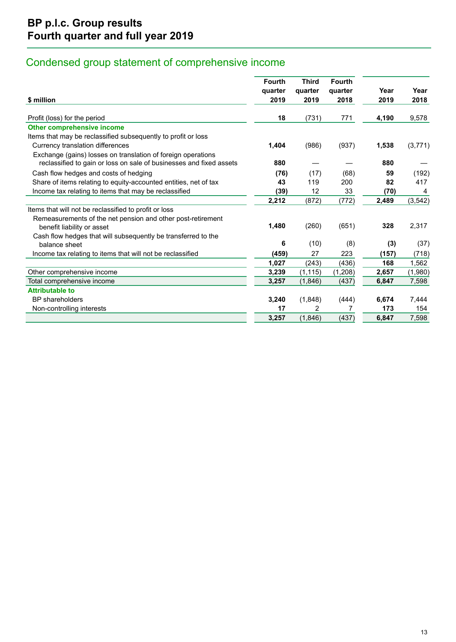# Condensed group statement of comprehensive income

| \$ million                                                                                                                          | <b>Fourth</b><br>quarter<br>2019 | <b>Third</b><br>quarter<br>2019 | <b>Fourth</b><br>quarter<br>2018 | Year<br>2019 | Year<br>2018 |
|-------------------------------------------------------------------------------------------------------------------------------------|----------------------------------|---------------------------------|----------------------------------|--------------|--------------|
| Profit (loss) for the period                                                                                                        | 18                               | (731)                           | 771                              | 4,190        | 9,578        |
| <b>Other comprehensive income</b>                                                                                                   |                                  |                                 |                                  |              |              |
| Items that may be reclassified subsequently to profit or loss                                                                       |                                  |                                 |                                  |              |              |
| Currency translation differences                                                                                                    | 1,404                            | (986)                           | (937)                            | 1,538        | (3,771)      |
| Exchange (gains) losses on translation of foreign operations<br>reclassified to gain or loss on sale of businesses and fixed assets | 880                              |                                 |                                  | 880          |              |
| Cash flow hedges and costs of hedging                                                                                               | (76)                             | (17)                            | (68)                             | 59           | (192)        |
| Share of items relating to equity-accounted entities, net of tax                                                                    | 43                               | 119                             | 200                              | 82           | 417          |
| Income tax relating to items that may be reclassified                                                                               | (39)                             | 12                              | 33                               | (70)         | 4            |
|                                                                                                                                     | 2,212                            | (872)                           | (772)                            | 2,489        | (3, 542)     |
| Items that will not be reclassified to profit or loss                                                                               |                                  |                                 |                                  |              |              |
| Remeasurements of the net pension and other post-retirement<br>benefit liability or asset                                           | 1,480                            | (260)                           | (651)                            | 328          | 2,317        |
| Cash flow hedges that will subsequently be transferred to the<br>balance sheet                                                      | 6                                | (10)                            | (8)                              | (3)          | (37)         |
| Income tax relating to items that will not be reclassified                                                                          | (459)                            | 27                              | 223                              | (157)        | (718)        |
|                                                                                                                                     | 1,027                            | (243)                           | (436)                            | 168          | 1,562        |
| Other comprehensive income                                                                                                          | 3,239                            | (1, 115)                        | (1, 208)                         | 2,657        | (1,980)      |
| Total comprehensive income                                                                                                          | 3,257                            | (1,846)                         | (437)                            | 6,847        | 7,598        |
| <b>Attributable to</b>                                                                                                              |                                  |                                 |                                  |              |              |
| <b>BP</b> shareholders                                                                                                              | 3,240                            | (1,848)                         | (444)                            | 6,674        | 7,444        |
| Non-controlling interests                                                                                                           | 17                               | 2                               |                                  | 173          | 154          |
|                                                                                                                                     | 3,257                            | (1,846)                         | (437)                            | 6.847        | 7,598        |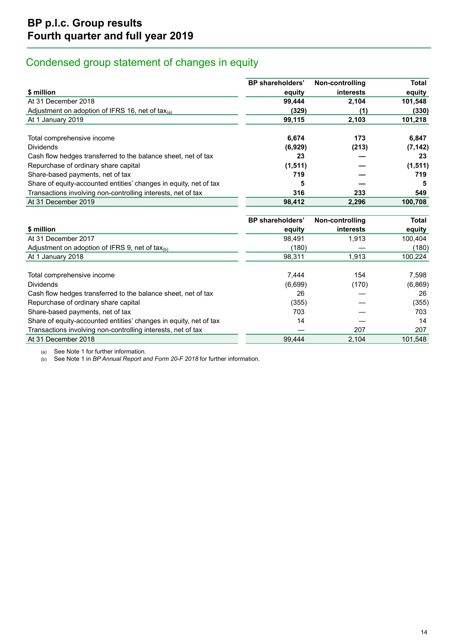# Condensed group statement of changes in equity

|                                                                   | <b>BP</b> shareholders' | Non-controlling  | <b>Total</b> |
|-------------------------------------------------------------------|-------------------------|------------------|--------------|
| \$ million                                                        | equity                  | <i>interests</i> | equity       |
| At 31 December 2018                                               | 99,444                  | 2,104            | 101,548      |
| Adjustment on adoption of IFRS 16, net of tax $_{(a)}$            | (329)                   | (1)              | (330)        |
| At 1 January 2019                                                 | 99,115                  | 2,103            | 101,218      |
| Total comprehensive income                                        | 6,674                   | 173              | 6,847        |
| <b>Dividends</b>                                                  | (6,929)                 | (213)            | (7, 142)     |
| Cash flow hedges transferred to the balance sheet, net of tax     | 23                      |                  | 23           |
| Repurchase of ordinary share capital                              | (1,511)                 |                  | (1, 511)     |
| Share-based payments, net of tax                                  | 719                     |                  | 719          |
| Share of equity-accounted entities' changes in equity, net of tax | 5                       |                  | 5            |
| Transactions involving non-controlling interests, net of tax      | 316                     | 233              | 549          |
| At 31 December 2019                                               | 98.412                  | 2.296            | 100.708      |

|                                                                   | <b>BP</b> shareholders' | Non-controlling | <b>Total</b> |
|-------------------------------------------------------------------|-------------------------|-----------------|--------------|
| \$ million                                                        | equity                  | interests       | equity       |
| At 31 December 2017                                               | 98.491                  | 1.913           | 100.404      |
| Adjustment on adoption of IFRS 9, net of tax $_{(b)}$             | (180)                   |                 | (180)        |
| At 1 January 2018                                                 | 98.311                  | 1,913           | 100,224      |
| Total comprehensive income                                        | 7.444                   | 154             | 7,598        |
| <b>Dividends</b>                                                  | (6,699)                 | (170)           | (6,869)      |
| Cash flow hedges transferred to the balance sheet, net of tax     | 26                      |                 | 26           |
| Repurchase of ordinary share capital                              | (355)                   |                 | (355)        |
| Share-based payments, net of tax                                  | 703                     |                 | 703          |
| Share of equity-accounted entities' changes in equity, net of tax | 14                      |                 | 14           |
| Transactions involving non-controlling interests, net of tax      |                         | 207             | 207          |
| At 31 December 2018                                               | 99.444                  | 2.104           | 101.548      |

(a) See Note 1 for further information.<br>(b) See Note 1 in *BP Annual Report are* 

See Note 1 in *BP Annual Report and Form 20-F 2018* for further information.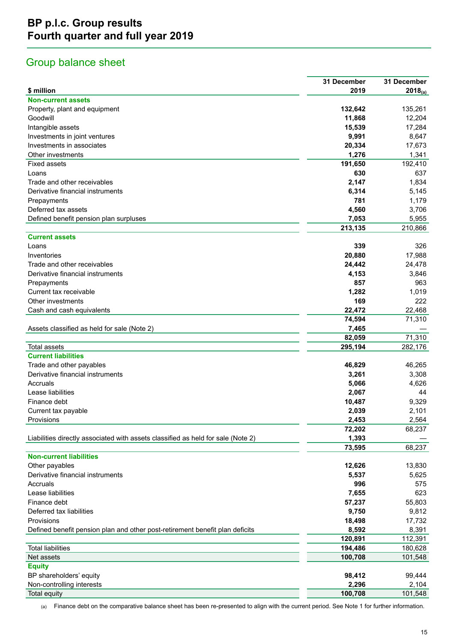### Group balance sheet

|                                                                                  | 31 December | 31 December  |
|----------------------------------------------------------------------------------|-------------|--------------|
| \$ million                                                                       | 2019        | $2018_{(a)}$ |
| <b>Non-current assets</b>                                                        |             |              |
| Property, plant and equipment                                                    | 132,642     | 135,261      |
| Goodwill                                                                         | 11,868      | 12,204       |
| Intangible assets                                                                | 15,539      | 17,284       |
| Investments in joint ventures                                                    | 9,991       | 8,647        |
| Investments in associates                                                        | 20,334      | 17,673       |
| Other investments                                                                | 1,276       | 1,341        |
| <b>Fixed assets</b>                                                              | 191,650     | 192,410      |
| Loans                                                                            | 630         | 637          |
| Trade and other receivables                                                      | 2,147       | 1,834        |
| Derivative financial instruments                                                 | 6,314       | 5,145        |
| Prepayments                                                                      | 781         | 1,179        |
| Deferred tax assets                                                              | 4,560       | 3,706        |
| Defined benefit pension plan surpluses                                           | 7,053       | 5,955        |
|                                                                                  | 213,135     | 210,866      |
| <b>Current assets</b>                                                            |             |              |
| Loans                                                                            | 339         | 326          |
| Inventories                                                                      | 20,880      | 17,988       |
| Trade and other receivables                                                      | 24,442      | 24,478       |
| Derivative financial instruments                                                 | 4,153       | 3,846        |
| Prepayments                                                                      | 857         | 963          |
| Current tax receivable                                                           | 1,282       | 1,019        |
| Other investments                                                                | 169         | 222          |
| Cash and cash equivalents                                                        | 22,472      | 22,468       |
|                                                                                  | 74,594      | 71,310       |
| Assets classified as held for sale (Note 2)                                      | 7,465       |              |
|                                                                                  | 82,059      | 71,310       |
| <b>Total assets</b>                                                              | 295,194     | 282,176      |
| <b>Current liabilities</b>                                                       |             |              |
| Trade and other payables                                                         | 46,829      | 46,265       |
| Derivative financial instruments                                                 | 3,261       | 3,308        |
| Accruals                                                                         | 5,066       | 4,626        |
| Lease liabilities                                                                | 2,067       | 44           |
| Finance debt                                                                     | 10,487      | 9,329        |
| Current tax payable                                                              | 2,039       | 2,101        |
| Provisions                                                                       | 2,453       | 2,564        |
|                                                                                  | 72,202      | 68,237       |
| Liabilities directly associated with assets classified as held for sale (Note 2) | 1,393       |              |
|                                                                                  | 73,595      | 68,237       |
| <b>Non-current liabilities</b>                                                   |             |              |
| Other payables                                                                   | 12,626      | 13,830       |
| Derivative financial instruments                                                 | 5,537       | 5,625        |
| Accruals                                                                         | 996         | 575          |
| Lease liabilities                                                                | 7,655       | 623          |
| Finance debt                                                                     | 57,237      | 55,803       |
| Deferred tax liabilities                                                         | 9,750       | 9,812        |
| Provisions                                                                       | 18,498      | 17,732       |
| Defined benefit pension plan and other post-retirement benefit plan deficits     | 8,592       | 8,391        |
|                                                                                  | 120,891     | 112,391      |
| <b>Total liabilities</b>                                                         | 194,486     | 180,628      |
| Net assets                                                                       | 100,708     | 101,548      |
| <b>Equity</b>                                                                    |             |              |
| BP shareholders' equity                                                          | 98,412      | 99,444       |
| Non-controlling interests                                                        | 2,296       | 2,104        |
| Total equity                                                                     | 100,708     | 101,548      |
|                                                                                  |             |              |

(a) Finance debt on the comparative balance sheet has been re-presented to align with the current period. See Note 1 for further information.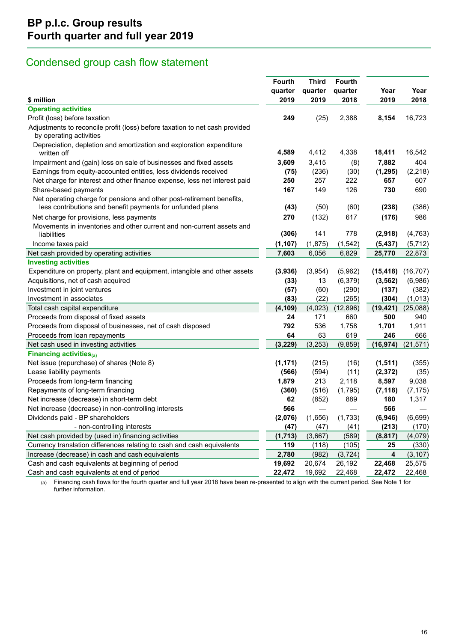# Condensed group cash flow statement

|                                                                                                                                     | <b>Fourth</b> | <b>Third</b> | <b>Fourth</b> |           |           |
|-------------------------------------------------------------------------------------------------------------------------------------|---------------|--------------|---------------|-----------|-----------|
|                                                                                                                                     | quarter       | quarter      | quarter       | Year      | Year      |
| \$ million<br><b>Operating activities</b>                                                                                           | 2019          | 2019         | 2018          | 2019      | 2018      |
| Profit (loss) before taxation                                                                                                       | 249           | (25)         | 2,388         | 8,154     | 16,723    |
| Adjustments to reconcile profit (loss) before taxation to net cash provided<br>by operating activities                              |               |              |               |           |           |
| Depreciation, depletion and amortization and exploration expenditure<br>written off                                                 | 4,589         | 4,412        | 4,338         | 18,411    | 16,542    |
| Impairment and (gain) loss on sale of businesses and fixed assets                                                                   | 3,609         | 3,415        | (8)           | 7,882     | 404       |
| Earnings from equity-accounted entities, less dividends received                                                                    | (75)          | (236)        | (30)          | (1, 295)  | (2, 218)  |
| Net charge for interest and other finance expense, less net interest paid                                                           | 250           | 257          | 222           | 657       | 607       |
| Share-based payments                                                                                                                | 167           | 149          | 126           | 730       | 690       |
| Net operating charge for pensions and other post-retirement benefits,<br>less contributions and benefit payments for unfunded plans | (43)          | (50)         | (60)          | (238)     | (386)     |
| Net charge for provisions, less payments                                                                                            | 270           | (132)        | 617           | (176)     | 986       |
| Movements in inventories and other current and non-current assets and                                                               |               |              |               |           |           |
| liabilities                                                                                                                         | (306)         | 141          | 778           | (2,918)   | (4, 763)  |
| Income taxes paid                                                                                                                   | (1, 107)      | (1, 875)     | (1, 542)      | (5, 437)  | (5, 712)  |
| Net cash provided by operating activities                                                                                           | 7,603         | 6,056        | 6,829         | 25,770    | 22,873    |
| <b>Investing activities</b>                                                                                                         |               |              |               |           |           |
| Expenditure on property, plant and equipment, intangible and other assets                                                           | (3,936)       | (3,954)      | (5,962)       | (15, 418) | (16, 707) |
| Acquisitions, net of cash acquired                                                                                                  | (33)          | 13           | (6, 379)      | (3, 562)  | (6,986)   |
| Investment in joint ventures                                                                                                        | (57)          | (60)         | (290)         | (137)     | (382)     |
| Investment in associates                                                                                                            | (83)          | (22)         | (265)         | (304)     | (1,013)   |
| Total cash capital expenditure                                                                                                      | (4, 109)      | (4,023)      | (12,896)      | (19, 421) | (25,088)  |
| Proceeds from disposal of fixed assets                                                                                              | 24            | 171          | 660           | 500       | 940       |
| Proceeds from disposal of businesses, net of cash disposed                                                                          | 792           | 536          | 1,758         | 1,701     | 1,911     |
| Proceeds from loan repayments                                                                                                       | 64            | 63           | 619           | 246       | 666       |
| Net cash used in investing activities                                                                                               | (3,229)       | (3,253)      | (9,859)       | (16, 974) | (21, 571) |
| Financing activities $_{(a)}$                                                                                                       |               |              |               |           |           |
| Net issue (repurchase) of shares (Note 8)                                                                                           | (1, 171)      | (215)        | (16)          | (1, 511)  | (355)     |
| Lease liability payments                                                                                                            | (566)         | (594)        | (11)          | (2, 372)  | (35)      |
| Proceeds from long-term financing                                                                                                   | 1,879         | 213          | 2,118         | 8,597     | 9,038     |
| Repayments of long-term financing                                                                                                   | (360)         | (516)        | (1,795)       | (7, 118)  | (7, 175)  |
| Net increase (decrease) in short-term debt                                                                                          | 62            | (852)        | 889           | 180       | 1,317     |
| Net increase (decrease) in non-controlling interests                                                                                | 566           |              |               | 566       |           |
| Dividends paid - BP shareholders                                                                                                    | (2,076)       | (1,656)      | (1,733)       | (6, 946)  | (6,699)   |
| - non-controlling interests                                                                                                         | (47)          | (47)         | (41)          | (213)     | (170)     |
| Net cash provided by (used in) financing activities                                                                                 | (1, 713)      | (3,667)      | (589)         | (8, 817)  | (4,079)   |
| Currency translation differences relating to cash and cash equivalents                                                              | 119           | (118)        | (105)         | 25        | (330)     |
| Increase (decrease) in cash and cash equivalents                                                                                    | 2,780         | (982)        | (3, 724)      | 4         | (3, 107)  |
| Cash and cash equivalents at beginning of period                                                                                    | 19,692        | 20,674       | 26,192        | 22,468    | 25,575    |
| Cash and cash equivalents at end of period                                                                                          | 22,472        | 19,692       | 22,468        | 22,472    | 22,468    |

(a) Financing cash flows for the fourth quarter and full year 2018 have been re-presented to align with the current period. See Note 1 for further information.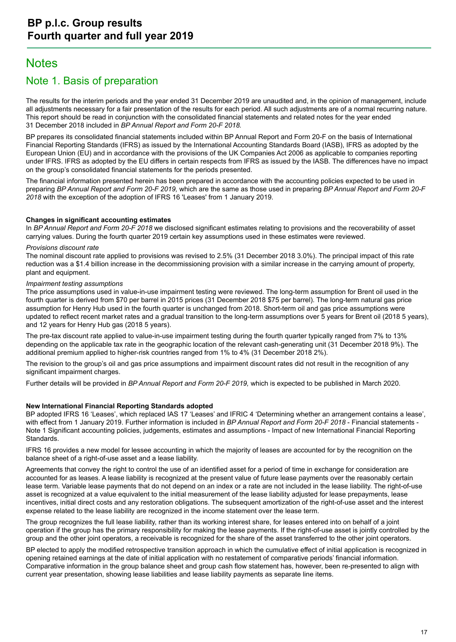## **Notes**

### Note 1. Basis of preparation

The results for the interim periods and the year ended 31 December 2019 are unaudited and, in the opinion of management, include all adjustments necessary for a fair presentation of the results for each period. All such adjustments are of a normal recurring nature. This report should be read in conjunction with the consolidated financial statements and related notes for the year ended 31 December 2018 included in *BP Annual Report and Form 20-F 2018.*

BP prepares its consolidated financial statements included within BP Annual Report and Form 20-F on the basis of International Financial Reporting Standards (IFRS) as issued by the International Accounting Standards Board (IASB), IFRS as adopted by the European Union (EU) and in accordance with the provisions of the UK Companies Act 2006 as applicable to companies reporting under IFRS. IFRS as adopted by the EU differs in certain respects from IFRS as issued by the IASB. The differences have no impact on the group's consolidated financial statements for the periods presented.

The financial information presented herein has been prepared in accordance with the accounting policies expected to be used in preparing *BP Annual Report and Form 20-F 2019,* which are the same as those used in preparing *BP Annual Report and Form 20-F 2018* with the exception of the adoption of IFRS 16 'Leases' from 1 January 2019.

### **Changes in significant accounting estimates**

In *BP Annual Report and Form 20-F 2018* we disclosed significant estimates relating to provisions and the recoverability of asset carrying values. During the fourth quarter 2019 certain key assumptions used in these estimates were reviewed.

### *Provisions discount rate*

The nominal discount rate applied to provisions was revised to 2.5% (31 December 2018 3.0%). The principal impact of this rate reduction was a \$1.4 billion increase in the decommissioning provision with a similar increase in the carrying amount of property, plant and equipment.

### *Impairment testing assumptions*

The price assumptions used in value-in-use impairment testing were reviewed. The long-term assumption for Brent oil used in the fourth quarter is derived from \$70 per barrel in 2015 prices (31 December 2018 \$75 per barrel). The long-term natural gas price assumption for Henry Hub used in the fourth quarter is unchanged from 2018. Short-term oil and gas price assumptions were updated to reflect recent market rates and a gradual transition to the long-term assumptions over 5 years for Brent oil (2018 5 years), and 12 years for Henry Hub gas (2018 5 years).

The pre-tax discount rate applied to value-in-use impairment testing during the fourth quarter typically ranged from 7% to 13% depending on the applicable tax rate in the geographic location of the relevant cash-generating unit (31 December 2018 9%). The additional premium applied to higher-risk countries ranged from 1% to 4% (31 December 2018 2%).

The revision to the group's oil and gas price assumptions and impairment discount rates did not result in the recognition of any significant impairment charges.

Further details will be provided in *BP Annual Report and Form 20-F 2019,* which is expected to be published in March 2020.

### **New International Financial Reporting Standards adopted**

BP adopted IFRS 16 'Leases', which replaced IAS 17 'Leases' and IFRIC 4 'Determining whether an arrangement contains a lease', with effect from 1 January 2019. Further information is included in *BP Annual Report and Form 20-F 2018* - Financial statements - Note 1 Significant accounting policies, judgements, estimates and assumptions - Impact of new International Financial Reporting Standards.

IFRS 16 provides a new model for lessee accounting in which the majority of leases are accounted for by the recognition on the balance sheet of a right-of-use asset and a lease liability.

Agreements that convey the right to control the use of an identified asset for a period of time in exchange for consideration are accounted for as leases. A lease liability is recognized at the present value of future lease payments over the reasonably certain lease term. Variable lease payments that do not depend on an index or a rate are not included in the lease liability. The right-of-use asset is recognized at a value equivalent to the initial measurement of the lease liability adjusted for lease prepayments, lease incentives, initial direct costs and any restoration obligations. The subsequent amortization of the right-of-use asset and the interest expense related to the lease liability are recognized in the income statement over the lease term.

The group recognizes the full lease liability, rather than its working interest share, for leases entered into on behalf of a joint operation if the group has the primary responsibility for making the lease payments. If the right-of-use asset is jointly controlled by the group and the other joint operators, a receivable is recognized for the share of the asset transferred to the other joint operators.

BP elected to apply the modified retrospective transition approach in which the cumulative effect of initial application is recognized in opening retained earnings at the date of initial application with no restatement of comparative periods' financial information. Comparative information in the group balance sheet and group cash flow statement has, however, been re-presented to align with current year presentation, showing lease liabilities and lease liability payments as separate line items.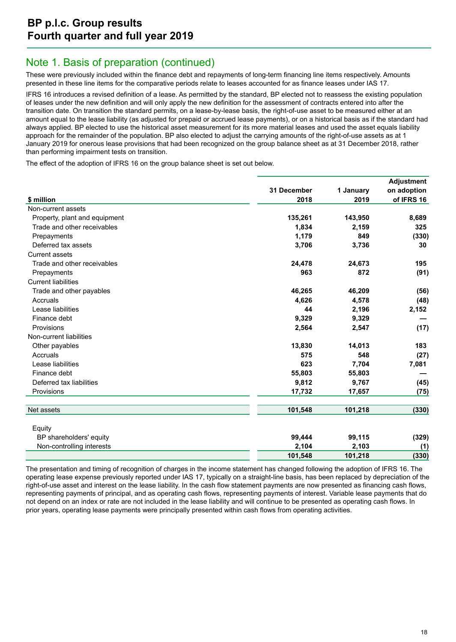### Note 1. Basis of preparation (continued)

These were previously included within the finance debt and repayments of long-term financing line items respectively. Amounts presented in these line items for the comparative periods relate to leases accounted for as finance leases under IAS 17.

IFRS 16 introduces a revised definition of a lease. As permitted by the standard, BP elected not to reassess the existing population of leases under the new definition and will only apply the new definition for the assessment of contracts entered into after the transition date. On transition the standard permits, on a lease-by-lease basis, the right-of-use asset to be measured either at an amount equal to the lease liability (as adjusted for prepaid or accrued lease payments), or on a historical basis as if the standard had always applied. BP elected to use the historical asset measurement for its more material leases and used the asset equals liability approach for the remainder of the population. BP also elected to adjust the carrying amounts of the right-of-use assets as at 1 January 2019 for onerous lease provisions that had been recognized on the group balance sheet as at 31 December 2018, rather than performing impairment tests on transition.

The effect of the adoption of IFRS 16 on the group balance sheet is set out below.

|                                                      |             |                 | <b>Adjustment</b> |
|------------------------------------------------------|-------------|-----------------|-------------------|
|                                                      | 31 December | 1 January       | on adoption       |
| \$ million                                           | 2018        | 2019            | of IFRS 16        |
| Non-current assets                                   |             |                 |                   |
| Property, plant and equipment                        | 135,261     | 143,950         | 8,689             |
| Trade and other receivables                          | 1,834       | 2,159           | 325               |
| Prepayments                                          | 1,179       | 849             | (330)             |
| Deferred tax assets                                  | 3,706       | 3,736           | 30                |
| <b>Current assets</b>                                |             |                 |                   |
| Trade and other receivables                          | 24,478      | 24,673          | 195               |
| Prepayments                                          | 963         | 872             | (91)              |
| <b>Current liabilities</b>                           |             |                 |                   |
| Trade and other payables                             | 46,265      | 46,209          | (56)              |
| Accruals                                             | 4,626       | 4,578           | (48)              |
| Lease liabilities                                    | 44          | 2,196           | 2,152             |
| Finance debt                                         | 9,329       | 9,329           |                   |
| Provisions                                           | 2,564       | 2,547           | (17)              |
| Non-current liabilities                              |             |                 |                   |
| Other payables                                       | 13,830      | 14,013          | 183               |
| Accruals                                             | 575         | 548             | (27)              |
| Lease liabilities                                    | 623         | 7,704           | 7,081             |
| Finance debt                                         | 55,803      | 55,803          |                   |
| Deferred tax liabilities                             | 9,812       | 9,767           | (45)              |
| Provisions                                           | 17,732      | 17,657          | (75)              |
| Net assets                                           | 101,548     | 101,218         | (330)             |
|                                                      |             |                 |                   |
| Equity                                               | 99,444      |                 |                   |
| BP shareholders' equity<br>Non-controlling interests | 2,104       | 99,115<br>2,103 | (329)             |
|                                                      |             |                 | (1)               |
|                                                      | 101,548     | 101,218         | (330)             |

The presentation and timing of recognition of charges in the income statement has changed following the adoption of IFRS 16. The operating lease expense previously reported under IAS 17, typically on a straight-line basis, has been replaced by depreciation of the right-of-use asset and interest on the lease liability. In the cash flow statement payments are now presented as financing cash flows, representing payments of principal, and as operating cash flows, representing payments of interest. Variable lease payments that do not depend on an index or rate are not included in the lease liability and will continue to be presented as operating cash flows. In prior years, operating lease payments were principally presented within cash flows from operating activities.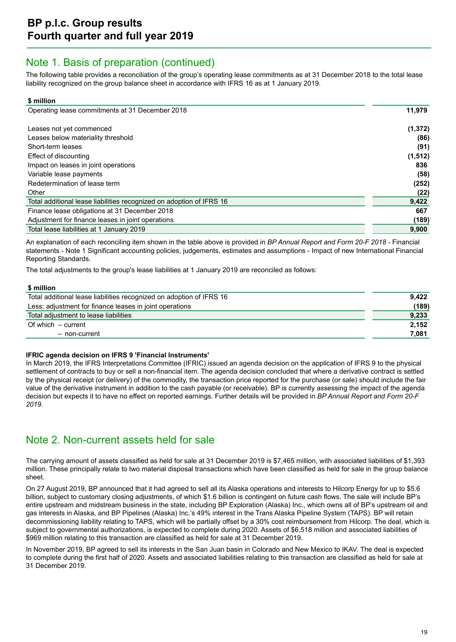### Note 1. Basis of preparation (continued)

The following table provides a reconciliation of the group's operating lease commitments as at 31 December 2018 to the total lease liability recognized on the group balance sheet in accordance with IFRS 16 as at 1 January 2019.

### **\$ million**

| Operating lease commitments at 31 December 2018                      | 11,979   |
|----------------------------------------------------------------------|----------|
| Leases not yet commenced                                             | (1, 372) |
| Leases below materiality threshold                                   | (86)     |
| Short-term leases                                                    | (91)     |
| Effect of discounting                                                | (1, 512) |
| Impact on leases in joint operations                                 | 836      |
| Variable lease payments                                              | (58)     |
| Redetermination of lease term                                        | (252)    |
| Other                                                                | (22)     |
| Total additional lease liabilities recognized on adoption of IFRS 16 | 9,422    |
| Finance lease obligations at 31 December 2018                        | 667      |
| Adjustment for finance leases in joint operations                    | (189)    |
| Total lease liabilities at 1 January 2019                            | 9,900    |

An explanation of each reconciling item shown in the table above is provided in *BP Annual Report and Form 20-F 2018* - Financial statements - Note 1 Significant accounting policies, judgements, estimates and assumptions - Impact of new International Financial Reporting Standards*.*

The total adjustments to the group's lease liabilities at 1 January 2019 are reconciled as follows:

#### **\$ million**

| Total additional lease liabilities recognized on adoption of IFRS 16 | 9.422 |
|----------------------------------------------------------------------|-------|
| Less: adjustment for finance leases in joint operations              | (189) |
| Total adjustment to lease liabilities                                | 9.233 |
| Of which – current                                                   | 2.152 |
| - non-current                                                        | 7.081 |

### **IFRIC agenda decision on IFRS 9 'Financial Instruments'**

In March 2019, the IFRS Interpretations Committee (IFRIC) issued an agenda decision on the application of IFRS 9 to the physical settlement of contracts to buy or sell a non-financial item. The agenda decision concluded that where a derivative contract is settled by the physical receipt (or delivery) of the commodity, the transaction price reported for the purchase (or sale) should include the fair value of the derivative instrument in addition to the cash payable (or receivable). BP is currently assessing the impact of the agenda decision but expects it to have no effect on reported earnings. Further details will be provided in *BP Annual Report and Form 20-F 2019.*

### Note 2. Non-current assets held for sale

The carrying amount of assets classified as held for sale at 31 December 2019 is \$7,465 million, with associated liabilities of \$1,393 million. These principally relate to two material disposal transactions which have been classified as held for sale in the group balance sheet.

On 27 August 2019, BP announced that it had agreed to sell all its Alaska operations and interests to Hilcorp Energy for up to \$5.6 billion, subject to customary closing adjustments, of which \$1.6 billion is contingent on future cash flows. The sale will include BP's entire upstream and midstream business in the state, including BP Exploration (Alaska) Inc., which owns all of BP's upstream oil and gas interests in Alaska, and BP Pipelines (Alaska) Inc.'s 49% interest in the Trans Alaska Pipeline System (TAPS). BP will retain decommissioning liability relating to TAPS, which will be partially offset by a 30% cost reimbursement from Hilcorp. The deal, which is subject to governmental authorizations, is expected to complete during 2020. Assets of \$6,518 million and associated liabilities of \$969 million relating to this transaction are classified as held for sale at 31 December 2019.

In November 2019, BP agreed to sell its interests in the San Juan basin in Colorado and New Mexico to IKAV. The deal is expected to complete during the first half of 2020. Assets and associated liabilities relating to this transaction are classified as held for sale at 31 December 2019.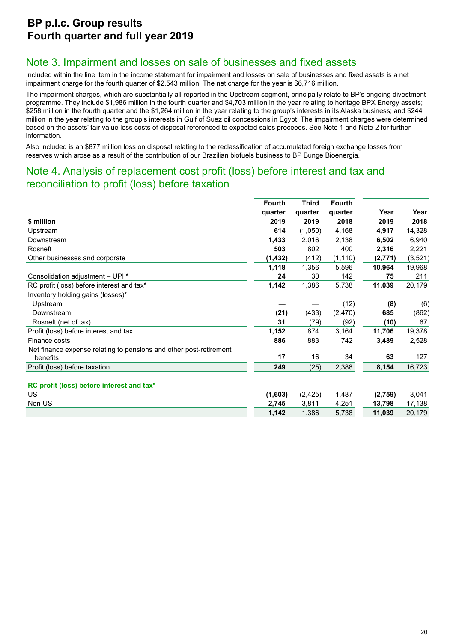### Note 3. Impairment and losses on sale of businesses and fixed assets

Included within the line item in the income statement for impairment and losses on sale of businesses and fixed assets is a net impairment charge for the fourth quarter of \$2,543 million. The net charge for the year is \$6,716 million.

The impairment charges, which are substantially all reported in the Upstream segment, principally relate to BP's ongoing divestment programme. They include \$1,986 million in the fourth quarter and \$4,703 million in the year relating to heritage BPX Energy assets; \$258 million in the fourth quarter and the \$1,264 million in the year relating to the group's interests in its Alaska business; and \$244 million in the year relating to the group's interests in Gulf of Suez oil concessions in Egypt. The impairment charges were determined based on the assets' fair value less costs of disposal referenced to expected sales proceeds. See Note 1 and Note 2 for further information.

Also included is an \$877 million loss on disposal relating to the reclassification of accumulated foreign exchange losses from reserves which arose as a result of the contribution of our Brazilian biofuels business to BP Bunge Bioenergia.

### Note 4. Analysis of replacement cost profit (loss) before interest and tax and reconciliation to profit (loss) before taxation

|                                                                                | <b>Fourth</b> | Third    | <b>Fourth</b> |         |          |
|--------------------------------------------------------------------------------|---------------|----------|---------------|---------|----------|
|                                                                                | quarter       | quarter  | quarter       | Year    | Year     |
| \$ million                                                                     | 2019          | 2019     | 2018          | 2019    | 2018     |
| Upstream                                                                       | 614           | (1,050)  | 4,168         | 4,917   | 14,328   |
| Downstream                                                                     | 1,433         | 2,016    | 2,138         | 6,502   | 6,940    |
| Rosneft                                                                        | 503           | 802      | 400           | 2,316   | 2,221    |
| Other businesses and corporate                                                 | (1, 432)      | (412)    | (1, 110)      | (2,771) | (3, 521) |
|                                                                                | 1,118         | 1,356    | 5,596         | 10,964  | 19,968   |
| Consolidation adjustment - UPII*                                               | 24            | 30       | 142           | 75      | 211      |
| RC profit (loss) before interest and tax*                                      | 1,142         | 1,386    | 5,738         | 11,039  | 20,179   |
| Inventory holding gains (losses)*                                              |               |          |               |         |          |
| Upstream                                                                       |               |          | (12)          | (8)     | (6)      |
| Downstream                                                                     | (21)          | (433)    | (2,470)       | 685     | (862)    |
| Rosneft (net of tax)                                                           | 31            | (79)     | (92)          | (10)    | 67       |
| Profit (loss) before interest and tax                                          | 1,152         | 874      | 3,164         | 11,706  | 19,378   |
| Finance costs                                                                  | 886           | 883      | 742           | 3,489   | 2,528    |
| Net finance expense relating to pensions and other post-retirement<br>benefits | 17            | 16       | 34            | 63      | 127      |
| Profit (loss) before taxation                                                  | 249           | (25)     | 2,388         | 8,154   | 16,723   |
| RC profit (loss) before interest and tax*                                      |               |          |               |         |          |
| US.                                                                            | (1,603)       | (2, 425) | 1,487         | (2,759) | 3,041    |
| Non-US                                                                         | 2,745         | 3,811    | 4,251         | 13,798  | 17,138   |
|                                                                                | 1,142         | 1,386    | 5,738         | 11,039  | 20,179   |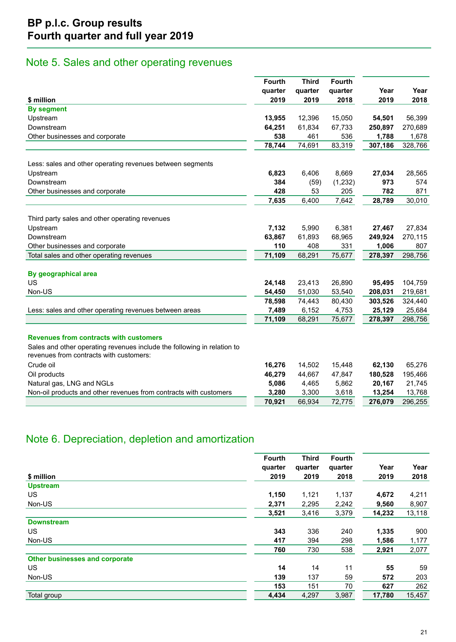# Note 5. Sales and other operating revenues

|                                                                                                                    | <b>Fourth</b> | <b>Third</b> | <b>Fourth</b> |         |         |
|--------------------------------------------------------------------------------------------------------------------|---------------|--------------|---------------|---------|---------|
|                                                                                                                    | quarter       | quarter      | quarter       | Year    | Year    |
| \$ million                                                                                                         | 2019          | 2019         | 2018          | 2019    | 2018    |
| <b>By segment</b>                                                                                                  |               |              |               |         |         |
| Upstream                                                                                                           | 13,955        | 12,396       | 15,050        | 54,501  | 56,399  |
| Downstream                                                                                                         | 64,251        | 61,834       | 67,733        | 250,897 | 270,689 |
| Other businesses and corporate                                                                                     | 538           | 461          | 536           | 1,788   | 1,678   |
|                                                                                                                    | 78,744        | 74,691       | 83,319        | 307,186 | 328,766 |
| Less: sales and other operating revenues between segments                                                          |               |              |               |         |         |
| Upstream                                                                                                           | 6,823         | 6,406        | 8,669         | 27,034  | 28,565  |
| Downstream                                                                                                         | 384           | (59)         | (1, 232)      | 973     | 574     |
| Other businesses and corporate                                                                                     | 428           | 53           | 205           | 782     | 871     |
|                                                                                                                    | 7,635         | 6,400        | 7,642         | 28,789  | 30,010  |
|                                                                                                                    |               |              |               |         |         |
| Third party sales and other operating revenues                                                                     |               |              |               |         |         |
| Upstream                                                                                                           | 7,132         | 5,990        | 6,381         | 27,467  | 27,834  |
| Downstream                                                                                                         | 63,867        | 61,893       | 68,965        | 249,924 | 270,115 |
| Other businesses and corporate                                                                                     | 110           | 408          | 331           | 1,006   | 807     |
| Total sales and other operating revenues                                                                           | 71,109        | 68,291       | 75,677        | 278,397 | 298,756 |
|                                                                                                                    |               |              |               |         |         |
| By geographical area                                                                                               |               |              |               |         |         |
| <b>US</b>                                                                                                          | 24,148        | 23,413       | 26,890        | 95,495  | 104,759 |
| Non-US                                                                                                             | 54,450        | 51,030       | 53,540        | 208,031 | 219,681 |
|                                                                                                                    | 78,598        | 74,443       | 80,430        | 303,526 | 324,440 |
| Less: sales and other operating revenues between areas                                                             | 7,489         | 6,152        | 4,753         | 25,129  | 25,684  |
|                                                                                                                    | 71,109        | 68,291       | 75,677        | 278,397 | 298,756 |
|                                                                                                                    |               |              |               |         |         |
| <b>Revenues from contracts with customers</b>                                                                      |               |              |               |         |         |
| Sales and other operating revenues include the following in relation to<br>revenues from contracts with customers: |               |              |               |         |         |
|                                                                                                                    |               |              |               |         |         |
| Crude oil                                                                                                          | 16,276        | 14,502       | 15,448        | 62,130  | 65,276  |
| Oil products                                                                                                       | 46,279        | 44,667       | 47,847        | 180,528 | 195,466 |
| Natural gas, LNG and NGLs                                                                                          | 5,086         | 4,465        | 5,862         | 20,167  | 21,745  |
| Non-oil products and other revenues from contracts with customers                                                  | 3,280         | 3,300        | 3,618         | 13,254  | 13,768  |
|                                                                                                                    | 70,921        | 66,934       | 72,775        | 276,079 | 296,255 |

# Note 6. Depreciation, depletion and amortization

| \$ million                            | <b>Fourth</b><br>quarter<br>2019 | <b>Third</b><br>quarter<br>2019 | <b>Fourth</b><br>quarter<br>2018 | Year<br>2019 | Year<br>2018 |
|---------------------------------------|----------------------------------|---------------------------------|----------------------------------|--------------|--------------|
| <b>Upstream</b>                       |                                  |                                 |                                  |              |              |
| US.                                   | 1,150                            | 1,121                           | 1,137                            | 4,672        | 4,211        |
| Non-US                                | 2,371                            | 2,295                           | 2,242                            | 9,560        | 8,907        |
|                                       | 3,521                            | 3,416                           | 3,379                            | 14,232       | 13,118       |
| <b>Downstream</b>                     |                                  |                                 |                                  |              |              |
| US.                                   | 343                              | 336                             | 240                              | 1,335        | 900          |
| Non-US                                | 417                              | 394                             | 298                              | 1,586        | 1,177        |
|                                       | 760                              | 730                             | 538                              | 2,921        | 2,077        |
| <b>Other businesses and corporate</b> |                                  |                                 |                                  |              |              |
| US.                                   | 14                               | 14                              | 11                               | 55           | 59           |
| Non-US                                | 139                              | 137                             | 59                               | 572          | 203          |
|                                       | 153                              | 151                             | 70                               | 627          | 262          |
| Total group                           | 4.434                            | 4,297                           | 3,987                            | 17.780       | 15,457       |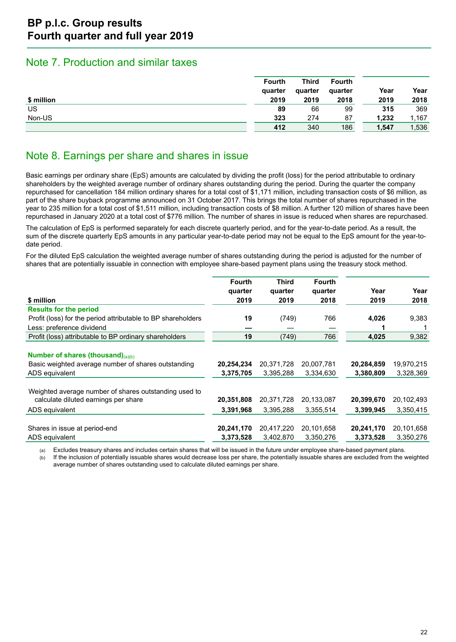### Note 7. Production and similar taxes

| \$ million | <b>Fourth</b><br>quarter<br>2019 | Third<br>quarter<br>2019 | <b>Fourth</b><br>quarter<br>2018 | Year<br>2019 | Year<br>2018 |
|------------|----------------------------------|--------------------------|----------------------------------|--------------|--------------|
|            |                                  |                          |                                  |              |              |
| US         | 89                               | 66                       | 99                               | 315          | 369          |
| Non-US     | 323                              | 274                      | 87                               | 1.232        | 1.167        |
|            | 412                              | 340                      | 186                              | 1,547        | .536         |

### Note 8. Earnings per share and shares in issue

Basic earnings per ordinary share (EpS) amounts are calculated by dividing the profit (loss) for the period attributable to ordinary shareholders by the weighted average number of ordinary shares outstanding during the period. During the quarter the company repurchased for cancellation 184 million ordinary shares for a total cost of \$1,171 million, including transaction costs of \$6 million, as part of the share buyback programme announced on 31 October 2017. This brings the total number of shares repurchased in the year to 235 million for a total cost of \$1,511 million, including transaction costs of \$8 million. A further 120 million of shares have been repurchased in January 2020 at a total cost of \$776 million. The number of shares in issue is reduced when shares are repurchased.

The calculation of EpS is performed separately for each discrete quarterly period, and for the year-to-date period. As a result, the sum of the discrete quarterly EpS amounts in any particular year-to-date period may not be equal to the EpS amount for the year-todate period.

For the diluted EpS calculation the weighted average number of shares outstanding during the period is adjusted for the number of shares that are potentially issuable in connection with employee share-based payment plans using the treasury stock method.

|                                                                                                                  | <b>Fourth</b><br>quarter | <b>Third</b><br>quarter | <b>Fourth</b><br>quarter | Year                    | Year                    |
|------------------------------------------------------------------------------------------------------------------|--------------------------|-------------------------|--------------------------|-------------------------|-------------------------|
| \$ million                                                                                                       | 2019                     | 2019                    | 2018                     | 2019                    | 2018                    |
| <b>Results for the period</b>                                                                                    |                          |                         |                          |                         |                         |
| Profit (loss) for the period attributable to BP shareholders                                                     | 19                       | (749)                   | 766                      | 4,026                   | 9,383                   |
| Less: preference dividend                                                                                        |                          |                         |                          |                         |                         |
| Profit (loss) attributable to BP ordinary shareholders                                                           | 19                       | (749)                   | 766                      | 4,025                   | 9,382                   |
| Number of shares (thousand) $_{(a)(b)}$<br>Basic weighted average number of shares outstanding<br>ADS equivalent | 20,254,234<br>3,375,705  | 20,371,728<br>3,395,288 | 20,007,781<br>3,334,630  | 20,284,859<br>3,380,809 | 19,970,215<br>3,328,369 |
| Weighted average number of shares outstanding used to<br>calculate diluted earnings per share<br>ADS equivalent  | 20,351,808<br>3,391,968  | 20,371,728<br>3,395,288 | 20,133,087<br>3,355,514  | 20,399,670<br>3,399,945 | 20,102,493<br>3,350,415 |
| Shares in issue at period-end<br>ADS equivalent                                                                  | 20,241,170<br>3,373,528  | 20,417,220<br>3,402,870 | 20,101,658<br>3,350,276  | 20,241,170<br>3,373,528 | 20,101,658<br>3,350,276 |

(a) Excludes treasury shares and includes certain shares that will be issued in the future under employee share-based payment plans.

(b) If the inclusion of potentially issuable shares would decrease loss per share, the potentially issuable shares are excluded from the weighted average number of shares outstanding used to calculate diluted earnings per share.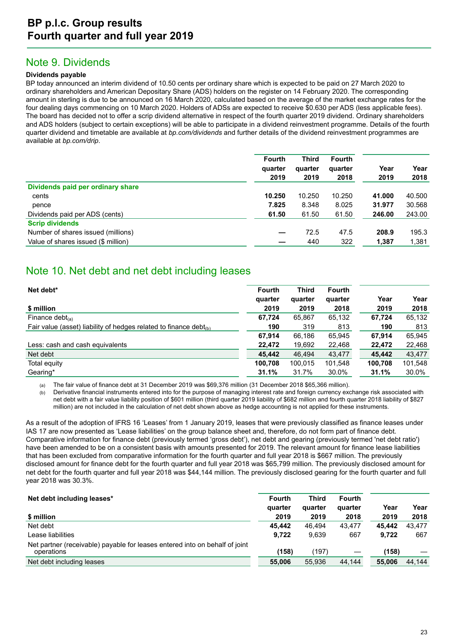### Note 9. Dividends

### **Dividends payable**

BP today announced an interim dividend of 10.50 cents per ordinary share which is expected to be paid on 27 March 2020 to ordinary shareholders and American Depositary Share (ADS) holders on the register on 14 February 2020. The corresponding amount in sterling is due to be announced on 16 March 2020, calculated based on the average of the market exchange rates for the four dealing days commencing on 10 March 2020. Holders of ADSs are expected to receive \$0.630 per ADS (less applicable fees). The board has decided not to offer a scrip dividend alternative in respect of the fourth quarter 2019 dividend. Ordinary shareholders and ADS holders (subject to certain exceptions) will be able to participate in a dividend reinvestment programme. Details of the fourth quarter dividend and timetable are available at *bp.com/dividends* and further details of the dividend reinvestment programmes are available at *bp.com/drip*.

|                                     | <b>Fourth</b><br>quarter<br>2019 | <b>Third</b><br>quarter<br>2019 | <b>Fourth</b><br>quarter<br>2018 | Year<br>2019 | Year<br>2018 |
|-------------------------------------|----------------------------------|---------------------------------|----------------------------------|--------------|--------------|
| Dividends paid per ordinary share   |                                  |                                 |                                  |              |              |
| cents                               | 10.250                           | 10.250                          | 10.250                           | 41.000       | 40.500       |
| pence                               | 7.825                            | 8.348                           | 8.025                            | 31.977       | 30.568       |
| Dividends paid per ADS (cents)      | 61.50                            | 61.50                           | 61.50                            | 246.00       | 243.00       |
| <b>Scrip dividends</b>              |                                  |                                 |                                  |              |              |
| Number of shares issued (millions)  |                                  | 72.5                            | 47.5                             | 208.9        | 195.3        |
| Value of shares issued (\$ million) |                                  | 440                             | 322                              | 1,387        | 1,381        |

### Note 10. Net debt and net debt including leases

| Net debt*                                                              | <b>Fourth</b><br>quarter | Third<br>quarter | <b>Fourth</b><br>quarter | Year    | Year    |
|------------------------------------------------------------------------|--------------------------|------------------|--------------------------|---------|---------|
| \$ million                                                             | 2019                     | 2019             | 2018                     | 2019    | 2018    |
| Finance debt $_{(a)}$                                                  | 67,724                   | 65,867           | 65,132                   | 67,724  | 65,132  |
| Fair value (asset) liability of hedges related to finance $debt_{(b)}$ | 190                      | 319              | 813                      | 190     | 813     |
|                                                                        | 67,914                   | 66,186           | 65,945                   | 67.914  | 65,945  |
| Less: cash and cash equivalents                                        | 22,472                   | 19,692           | 22,468                   | 22,472  | 22,468  |
| Net debt                                                               | 45,442                   | 46,494           | 43,477                   | 45,442  | 43,477  |
| Total equity                                                           | 100,708                  | 100.015          | 101.548                  | 100,708 | 101,548 |
| Gearing*                                                               | 31.1%                    | 31.7%            | 30.0%                    | 31.1%   | 30.0%   |

(a) The fair value of finance debt at 31 December 2019 was \$69,376 million (31 December 2018 \$65,366 million).

(b) Derivative financial instruments entered into for the purpose of managing interest rate and foreign currency exchange risk associated with net debt with a fair value liability position of \$601 million (third quarter 2019 liability of \$682 million and fourth quarter 2018 liability of \$827 million) are not included in the calculation of net debt shown above as hedge accounting is not applied for these instruments.

As a result of the adoption of IFRS 16 'Leases' from 1 January 2019, leases that were previously classified as finance leases under IAS 17 are now presented as 'Lease liabilities' on the group balance sheet and, therefore, do not form part of finance debt. Comparative information for finance debt (previously termed 'gross debt'), net debt and gearing (previously termed 'net debt ratio') have been amended to be on a consistent basis with amounts presented for 2019. The relevant amount for finance lease liabilities that has been excluded from comparative information for the fourth quarter and full year 2018 is \$667 million. The previously disclosed amount for finance debt for the fourth quarter and full year 2018 was \$65,799 million. The previously disclosed amount for net debt for the fourth quarter and full year 2018 was \$44,144 million. The previously disclosed gearing for the fourth quarter and full year 2018 was 30.3%.

| Net debt including leases*                                                                | <b>Fourth</b><br>quarter | <b>Third</b><br>quarter | <b>Fourth</b><br>quarter | Year   | Year   |
|-------------------------------------------------------------------------------------------|--------------------------|-------------------------|--------------------------|--------|--------|
| \$ million                                                                                | 2019                     | 2019                    | 2018                     | 2019   | 2018   |
| Net debt                                                                                  | 45.442                   | 46.494                  | 43.477                   | 45.442 | 43.477 |
| Lease liabilities                                                                         | 9,722                    | 9.639                   | 667                      | 9.722  | 667    |
| Net partner (receivable) payable for leases entered into on behalf of joint<br>operations | (158)                    | (197)                   |                          | (158)  |        |
| Net debt including leases                                                                 | 55,006                   | 55,936                  | 44,144                   | 55,006 | 44,144 |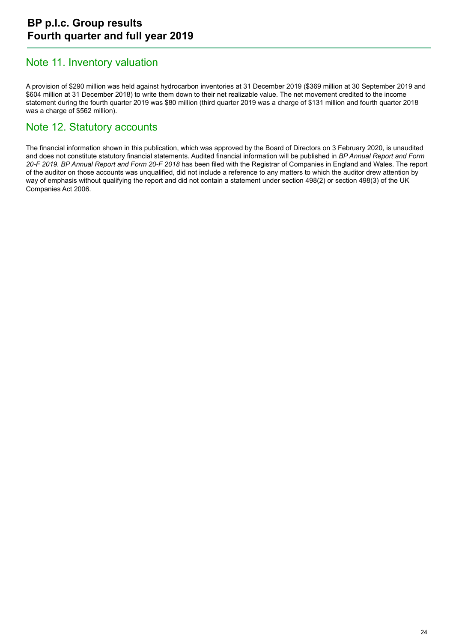### Note 11. Inventory valuation

A provision of \$290 million was held against hydrocarbon inventories at 31 December 2019 (\$369 million at 30 September 2019 and \$604 million at 31 December 2018) to write them down to their net realizable value. The net movement credited to the income statement during the fourth quarter 2019 was \$80 million (third quarter 2019 was a charge of \$131 million and fourth quarter 2018 was a charge of \$562 million).

### Note 12. Statutory accounts

The financial information shown in this publication, which was approved by the Board of Directors on 3 February 2020, is unaudited and does not constitute statutory financial statements. Audited financial information will be published in *BP Annual Report and Form 20-F 2019. BP Annual Report and Form 20-F 2018* has been filed with the Registrar of Companies in England and Wales. The report of the auditor on those accounts was unqualified, did not include a reference to any matters to which the auditor drew attention by way of emphasis without qualifying the report and did not contain a statement under section 498(2) or section 498(3) of the UK Companies Act 2006.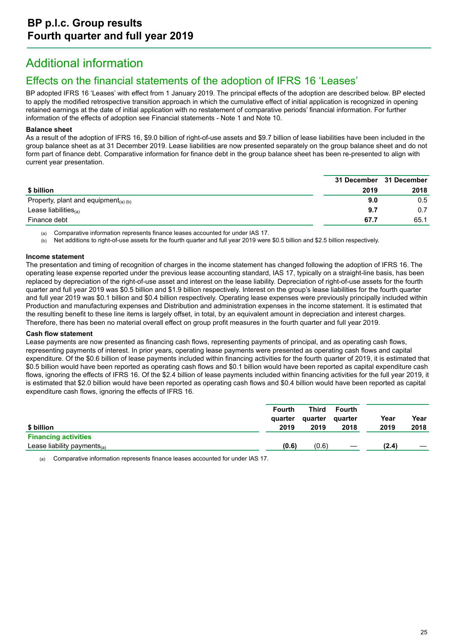# Additional information

### Effects on the financial statements of the adoption of IFRS 16 'Leases'

BP adopted IFRS 16 'Leases' with effect from 1 January 2019. The principal effects of the adoption are described below. BP elected to apply the modified retrospective transition approach in which the cumulative effect of initial application is recognized in opening retained earnings at the date of initial application with no restatement of comparative periods' financial information. For further information of the effects of adoption see Financial statements - Note 1 and Note 10.

#### **Balance sheet**

As a result of the adoption of IFRS 16, \$9.0 billion of right-of-use assets and \$9.7 billion of lease liabilities have been included in the group balance sheet as at 31 December 2019. Lease liabilities are now presented separately on the group balance sheet and do not form part of finance debt. Comparative information for finance debt in the group balance sheet has been re-presented to align with current year presentation.

|                                                  |      | 31 December 31 December |
|--------------------------------------------------|------|-------------------------|
| \$ billion                                       | 2019 | 2018                    |
| Property, plant and equipment <sub>(a) (b)</sub> | 9.0  | 0.5                     |
| Lease liabilities $_{(a)}$                       | 9.7  | 0.7                     |
| Finance debt                                     | 67.7 | 65.1                    |

(a) Comparative information represents finance leases accounted for under IAS 17.

(b) Net additions to right-of-use assets for the fourth quarter and full year 2019 were \$0.5 billion and \$2.5 billion respectively.

### **Income statement**

The presentation and timing of recognition of charges in the income statement has changed following the adoption of IFRS 16. The operating lease expense reported under the previous lease accounting standard, IAS 17, typically on a straight-line basis, has been replaced by depreciation of the right-of-use asset and interest on the lease liability. Depreciation of right-of-use assets for the fourth quarter and full year 2019 was \$0.5 billion and \$1.9 billion respectively. Interest on the group's lease liabilities for the fourth quarter and full year 2019 was \$0.1 billion and \$0.4 billion respectively. Operating lease expenses were previously principally included within Production and manufacturing expenses and Distribution and administration expenses in the income statement. It is estimated that the resulting benefit to these line items is largely offset, in total, by an equivalent amount in depreciation and interest charges. Therefore, there has been no material overall effect on group profit measures in the fourth quarter and full year 2019.

#### **Cash flow statement**

Lease payments are now presented as financing cash flows, representing payments of principal, and as operating cash flows, representing payments of interest. In prior years, operating lease payments were presented as operating cash flows and capital expenditure. Of the \$0.6 billion of lease payments included within financing activities for the fourth quarter of 2019, it is estimated that \$0.5 billion would have been reported as operating cash flows and \$0.1 billion would have been reported as capital expenditure cash flows, ignoring the effects of IFRS 16. Of the \$2.4 billion of lease payments included within financing activities for the full year 2019, it is estimated that \$2.0 billion would have been reported as operating cash flows and \$0.4 billion would have been reported as capital expenditure cash flows, ignoring the effects of IFRS 16.

|                                   | Fourth<br>quarter | Third<br>quarter | Fourth<br>quarter | Year  | Year |
|-----------------------------------|-------------------|------------------|-------------------|-------|------|
| \$ billion                        | 2019              | 2019             | 2018              | 2019  | 2018 |
| <b>Financing activities</b>       |                   |                  |                   |       |      |
| Lease liability payments $_{(a)}$ | (0.6)             | (0.6)            | $\hspace{0.05cm}$ | (2.4) | —    |
|                                   |                   |                  |                   |       |      |

(a) Comparative information represents finance leases accounted for under IAS 17.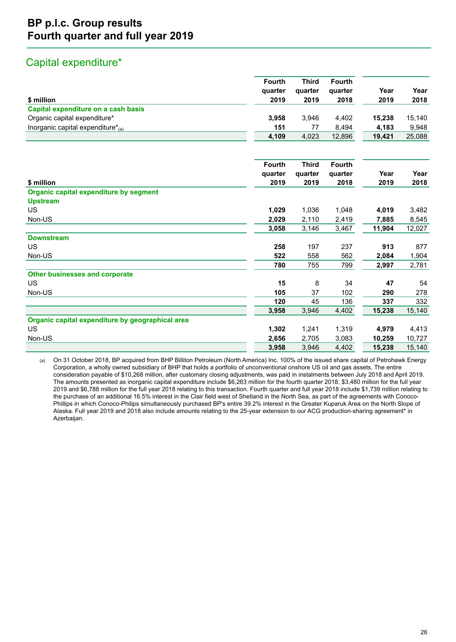### **BP p.l.c. Group results Fourth quarter and full year 2019**

### Capital expenditure\*

| \$ million                                                | Fourth<br>quarter<br>2019 | <b>Third</b><br>quarter<br>2019 | <b>Fourth</b><br>quarter<br>2018 | Year<br>2019 | Year<br>2018 |
|-----------------------------------------------------------|---------------------------|---------------------------------|----------------------------------|--------------|--------------|
| Capital expenditure on a cash basis                       |                           |                                 |                                  |              |              |
| Organic capital expenditure*                              | 3,958                     | 3,946                           | 4,402                            | 15,238       | 15,140       |
| Inorganic capital expenditure*(a)                         | 151                       | 77                              | 8,494                            | 4,183        | 9,948        |
|                                                           | 4,109                     | 4,023                           | 12,896                           | 19,421       | 25,088       |
|                                                           | Fourth                    | <b>Third</b>                    | <b>Fourth</b>                    |              |              |
|                                                           | quarter                   | quarter                         | quarter                          | Year         | Year         |
| \$ million                                                | 2019                      | 2019                            | 2018                             | 2019         | 2018         |
| Organic capital expenditure by segment<br><b>Upstream</b> |                           |                                 |                                  |              |              |
| <b>US</b>                                                 | 1,029                     | 1,036                           | 1,048                            | 4,019        | 3,482        |
| Non-US                                                    | 2,029                     | 2,110                           | 2,419                            | 7,885        | 8,545        |
|                                                           | 3,058                     | 3,146                           | 3,467                            | 11.904       | 12,027       |
| <b>Downstream</b>                                         |                           |                                 |                                  |              |              |
| <b>US</b>                                                 | 258                       | 197                             | 237                              | 913          | 877          |
| Non-US                                                    | 522                       | 558                             | 562                              | 2,084        | 1,904        |
|                                                           | 780                       | 755                             | 799                              | 2,997        | 2,781        |
| Other businesses and corporate                            |                           |                                 |                                  |              |              |
| <b>US</b>                                                 | 15                        | 8                               | 34                               | 47           | 54           |
| Non-US                                                    | 105                       | 37                              | 102                              | 290          | 278          |
|                                                           | 120                       | 45                              | 136                              | 337          | 332          |
|                                                           | 3,958                     | 3,946                           | 4,402                            | 15,238       | 15,140       |
| Organic capital expenditure by geographical area          |                           |                                 |                                  |              |              |
| <b>US</b>                                                 | 1,302                     | 1,241                           | 1,319                            | 4,979        | 4,413        |
| Non-US                                                    | 2,656                     | 2,705                           | 3,083                            | 10,259       | 10,727       |
|                                                           | 3,958                     | 3,946                           | 4,402                            | 15,238       | 15,140       |

(a) On 31 October 2018, BP acquired from BHP Billiton Petroleum (North America) Inc. 100% of the issued share capital of Petrohawk Energy Corporation, a wholly owned subsidiary of BHP that holds a portfolio of unconventional onshore US oil and gas assets. The entire consideration payable of \$10,268 million, after customary closing adjustments, was paid in instalments between July 2018 and April 2019. The amounts presented as inorganic capital expenditure include \$6,263 million for the fourth quarter 2018, \$3,480 million for the full year 2019 and \$6,788 million for the full year 2018 relating to this transaction. Fourth quarter and full year 2018 include \$1,739 million relating to the purchase of an additional 16.5% interest in the Clair field west of Shetland in the North Sea, as part of the agreements with Conoco-Phillips in which Conoco-Philips simultaneously purchased BP's entire 39.2% interest in the Greater Kuparuk Area on the North Slope of Alaska. Full year 2019 and 2018 also include amounts relating to the 25-year extension to our ACG production-sharing agreement\* in Azerbaijan.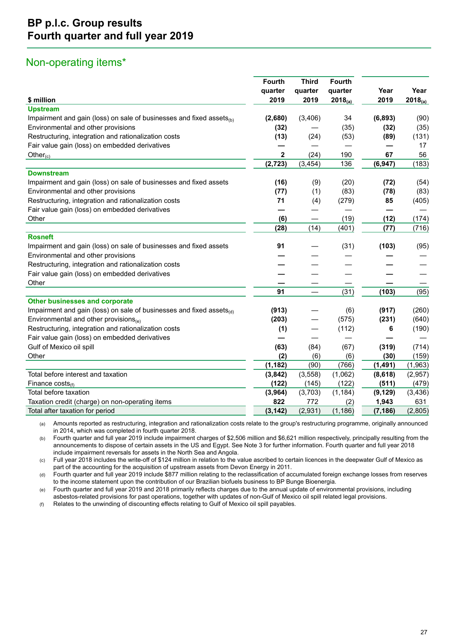### Non-operating items\*

| \$ million                                                                       | Fourth<br>quarter<br>2019 | <b>Third</b><br>quarter<br>2019 | <b>Fourth</b><br>quarter<br>$2018_{(a)}$ | Year<br>2019 | Year<br>$2018_{(a)}$ |
|----------------------------------------------------------------------------------|---------------------------|---------------------------------|------------------------------------------|--------------|----------------------|
| <b>Upstream</b>                                                                  |                           |                                 |                                          |              |                      |
| Impairment and gain (loss) on sale of businesses and fixed assets <sub>(b)</sub> | (2,680)                   | (3,406)                         | 34                                       | (6, 893)     | (90)                 |
| Environmental and other provisions                                               | (32)                      |                                 | (35)                                     | (32)         | (35)                 |
| Restructuring, integration and rationalization costs                             | (13)                      | (24)                            | (53)                                     | (89)         | (131)                |
| Fair value gain (loss) on embedded derivatives                                   |                           |                                 |                                          |              | 17                   |
| Other $_{(c)}$                                                                   | $\mathbf{2}$              | (24)                            | 190                                      | 67           | 56                   |
|                                                                                  | (2, 723)                  | (3, 454)                        | 136                                      | (6, 947)     | (183)                |
| <b>Downstream</b>                                                                |                           |                                 |                                          |              |                      |
| Impairment and gain (loss) on sale of businesses and fixed assets                | (16)                      | (9)                             | (20)                                     | (72)         | (54)                 |
| Environmental and other provisions                                               | (77)                      | (1)                             | (83)                                     | (78)         | (83)                 |
| Restructuring, integration and rationalization costs                             | 71                        | (4)                             | (279)                                    | 85           | (405)                |
| Fair value gain (loss) on embedded derivatives                                   |                           |                                 |                                          |              |                      |
| Other                                                                            | (6)                       |                                 | (19)                                     | (12)         | (174)                |
|                                                                                  | (28)                      | (14)                            | (401)                                    | (77)         | (716)                |
| <b>Rosneft</b>                                                                   |                           |                                 |                                          |              |                      |
| Impairment and gain (loss) on sale of businesses and fixed assets                | 91                        |                                 | (31)                                     | (103)        | (95)                 |
| Environmental and other provisions                                               |                           |                                 |                                          |              |                      |
| Restructuring, integration and rationalization costs                             |                           |                                 |                                          |              |                      |
| Fair value gain (loss) on embedded derivatives                                   |                           |                                 |                                          |              |                      |
| Other                                                                            |                           |                                 |                                          |              |                      |
|                                                                                  | 91                        |                                 | (31)                                     | (103)        | (95)                 |
| Other businesses and corporate                                                   |                           |                                 |                                          |              |                      |
| Impairment and gain (loss) on sale of businesses and fixed assets(d)             | (913)                     |                                 | (6)                                      | (917)        | (260)                |
| Environmental and other provisions $_{(e)}$                                      | (203)                     |                                 | (575)                                    | (231)        | (640)                |
| Restructuring, integration and rationalization costs                             | (1)                       |                                 | (112)                                    | 6            | (190)                |
| Fair value gain (loss) on embedded derivatives                                   |                           |                                 |                                          |              |                      |
| Gulf of Mexico oil spill                                                         | (63)                      | (84)                            | (67)                                     | (319)        | (714)                |
| Other                                                                            | (2)                       | (6)                             | (6)                                      | (30)         | (159)                |
|                                                                                  | (1, 182)                  | (90)                            | (766)                                    | (1, 491)     | (1,963)              |
| Total before interest and taxation                                               | (3,842)                   | (3,558)                         | (1,062)                                  | (8,618)      | (2,957)              |
| Finance $costs_{(f)}$                                                            | (122)                     | (145)                           | (122)                                    | (511)        | (479)                |
| Total before taxation                                                            | (3,964)                   | (3,703)                         | (1, 184)                                 | (9, 129)     | (3, 436)             |
| Taxation credit (charge) on non-operating items                                  | 822                       | 772                             | (2)                                      | 1,943        | 631                  |
| Total after taxation for period                                                  | (3, 142)                  | (2,931)                         | (1, 186)                                 | (7, 186)     | (2,805)              |

(a) Amounts reported as restructuring, integration and rationalization costs relate to the group's restructuring programme, originally announced in 2014, which was completed in fourth quarter 2018.

(b) Fourth quarter and full year 2019 include impairment charges of \$2,506 million and \$6,621 million respectively, principally resulting from the announcements to dispose of certain assets in the US and Egypt. See Note 3 for further information. Fourth quarter and full year 2018 include impairment reversals for assets in the North Sea and Angola.

(c) Full year 2018 includes the write-off of \$124 million in relation to the value ascribed to certain licences in the deepwater Gulf of Mexico as part of the accounting for the acquisition of upstream assets from Devon Energy in 2011.

(d) Fourth quarter and full year 2019 include \$877 million relating to the reclassification of accumulated foreign exchange losses from reserves to the income statement upon the contribution of our Brazilian biofuels business to BP Bunge Bioenergia.

(e) Fourth quarter and full year 2019 and 2018 primarily reflects charges due to the annual update of environmental provisions, including asbestos-related provisions for past operations, together with updates of non-Gulf of Mexico oil spill related legal provisions.

(f) Relates to the unwinding of discounting effects relating to Gulf of Mexico oil spill payables.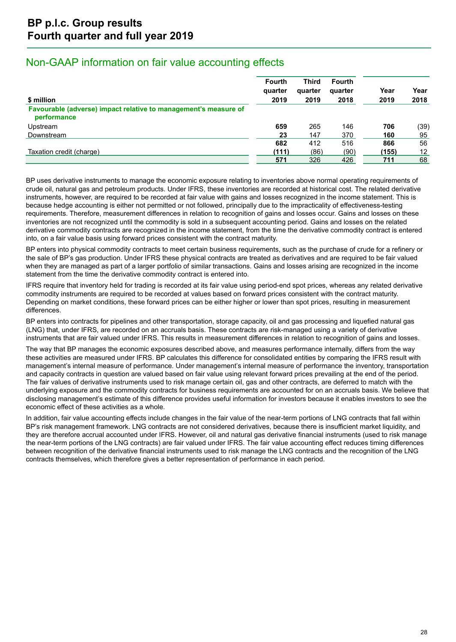### Non-GAAP information on fair value accounting effects

| \$ million                                                                     | <b>Fourth</b><br>quarter<br>2019 | <b>Third</b><br>quarter<br>2019 | <b>Fourth</b><br>quarter<br>2018 | Year<br>2019 | Year<br>2018 |
|--------------------------------------------------------------------------------|----------------------------------|---------------------------------|----------------------------------|--------------|--------------|
| Favourable (adverse) impact relative to management's measure of<br>performance |                                  |                                 |                                  |              |              |
| Upstream                                                                       | 659                              | 265                             | 146                              | 706          | (39)         |
| Downstream                                                                     | 23                               | 147                             | 370                              | 160          | 95           |
|                                                                                | 682                              | 412                             | 516                              | 866          | 56           |
| Taxation credit (charge)                                                       | (111)                            | (86)                            | (90)                             | (155)        | 12           |
|                                                                                | 571                              | 326                             | 426                              | 711          | 68           |

BP uses derivative instruments to manage the economic exposure relating to inventories above normal operating requirements of crude oil, natural gas and petroleum products. Under IFRS, these inventories are recorded at historical cost. The related derivative instruments, however, are required to be recorded at fair value with gains and losses recognized in the income statement. This is because hedge accounting is either not permitted or not followed, principally due to the impracticality of effectiveness-testing requirements. Therefore, measurement differences in relation to recognition of gains and losses occur. Gains and losses on these inventories are not recognized until the commodity is sold in a subsequent accounting period. Gains and losses on the related derivative commodity contracts are recognized in the income statement, from the time the derivative commodity contract is entered into, on a fair value basis using forward prices consistent with the contract maturity.

BP enters into physical commodity contracts to meet certain business requirements, such as the purchase of crude for a refinery or the sale of BP's gas production. Under IFRS these physical contracts are treated as derivatives and are required to be fair valued when they are managed as part of a larger portfolio of similar transactions. Gains and losses arising are recognized in the income statement from the time the derivative commodity contract is entered into.

IFRS require that inventory held for trading is recorded at its fair value using period-end spot prices, whereas any related derivative commodity instruments are required to be recorded at values based on forward prices consistent with the contract maturity. Depending on market conditions, these forward prices can be either higher or lower than spot prices, resulting in measurement differences.

BP enters into contracts for pipelines and other transportation, storage capacity, oil and gas processing and liquefied natural gas (LNG) that, under IFRS, are recorded on an accruals basis. These contracts are risk-managed using a variety of derivative instruments that are fair valued under IFRS. This results in measurement differences in relation to recognition of gains and losses.

The way that BP manages the economic exposures described above, and measures performance internally, differs from the way these activities are measured under IFRS. BP calculates this difference for consolidated entities by comparing the IFRS result with management's internal measure of performance. Under management's internal measure of performance the inventory, transportation and capacity contracts in question are valued based on fair value using relevant forward prices prevailing at the end of the period. The fair values of derivative instruments used to risk manage certain oil, gas and other contracts, are deferred to match with the underlying exposure and the commodity contracts for business requirements are accounted for on an accruals basis. We believe that disclosing management's estimate of this difference provides useful information for investors because it enables investors to see the economic effect of these activities as a whole.

In addition, fair value accounting effects include changes in the fair value of the near-term portions of LNG contracts that fall within BP's risk management framework. LNG contracts are not considered derivatives, because there is insufficient market liquidity, and they are therefore accrual accounted under IFRS. However, oil and natural gas derivative financial instruments (used to risk manage the near-term portions of the LNG contracts) are fair valued under IFRS. The fair value accounting effect reduces timing differences between recognition of the derivative financial instruments used to risk manage the LNG contracts and the recognition of the LNG contracts themselves, which therefore gives a better representation of performance in each period.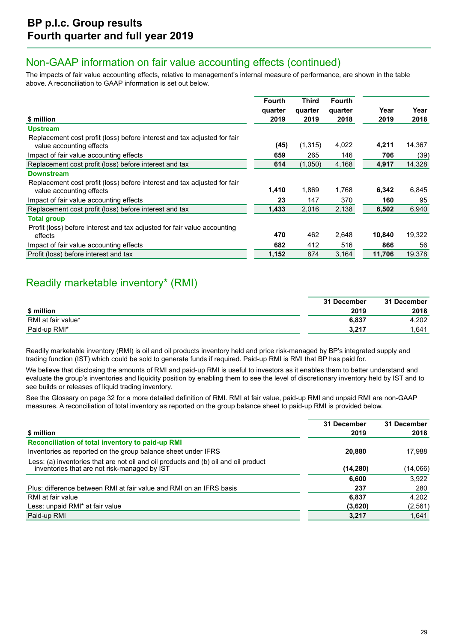### Non-GAAP information on fair value accounting effects (continued)

The impacts of fair value accounting effects, relative to management's internal measure of performance, are shown in the table above. A reconciliation to GAAP information is set out below.

|                                                                          | Fourth  | <b>Third</b> | <b>Fourth</b> |        |        |
|--------------------------------------------------------------------------|---------|--------------|---------------|--------|--------|
|                                                                          | quarter | quarter      | quarter       | Year   | Year   |
| \$ million                                                               | 2019    | 2019         | 2018          | 2019   | 2018   |
| <b>Upstream</b>                                                          |         |              |               |        |        |
| Replacement cost profit (loss) before interest and tax adjusted for fair |         |              |               |        |        |
| value accounting effects                                                 | (45)    | (1, 315)     | 4,022         | 4,211  | 14,367 |
| Impact of fair value accounting effects                                  | 659     | 265          | 146           | 706    | (39)   |
| Replacement cost profit (loss) before interest and tax                   | 614     | (1,050)      | 4,168         | 4,917  | 14,328 |
| <b>Downstream</b>                                                        |         |              |               |        |        |
| Replacement cost profit (loss) before interest and tax adjusted for fair |         |              |               |        |        |
| value accounting effects                                                 | 1,410   | 1,869        | 1,768         | 6,342  | 6,845  |
| Impact of fair value accounting effects                                  | 23      | 147          | 370           | 160    | 95     |
| Replacement cost profit (loss) before interest and tax                   | 1,433   | 2,016        | 2,138         | 6,502  | 6,940  |
| <b>Total group</b>                                                       |         |              |               |        |        |
| Profit (loss) before interest and tax adjusted for fair value accounting |         |              |               |        |        |
| effects                                                                  | 470     | 462          | 2,648         | 10,840 | 19,322 |
| Impact of fair value accounting effects                                  | 682     | 412          | 516           | 866    | 56     |
| Profit (loss) before interest and tax                                    | 1,152   | 874          | 3,164         | 11,706 | 19,378 |

### Readily marketable inventory\* (RMI)

|                    | 31 December | <b>31 December</b> |
|--------------------|-------------|--------------------|
| \$ million         | 2019        | 2018               |
| RMI at fair value* | 6,837       | 4,202              |
| Paid-up RMI*       | 3.217       | 1,641              |

Readily marketable inventory (RMI) is oil and oil products inventory held and price risk-managed by BP's integrated supply and trading function (IST) which could be sold to generate funds if required. Paid-up RMI is RMI that BP has paid for.

We believe that disclosing the amounts of RMI and paid-up RMI is useful to investors as it enables them to better understand and evaluate the group's inventories and liquidity position by enabling them to see the level of discretionary inventory held by IST and to see builds or releases of liquid trading inventory.

See the Glossary on page 32 for a more detailed definition of RMI. RMI at fair value, paid-up RMI and unpaid RMI are non-GAAP measures. A reconciliation of total inventory as reported on the group balance sheet to paid-up RMI is provided below.

|                                                                                                                                     | 31 December | 31 December |
|-------------------------------------------------------------------------------------------------------------------------------------|-------------|-------------|
| \$ million                                                                                                                          | 2019        | 2018        |
| Reconciliation of total inventory to paid-up RMI                                                                                    |             |             |
| Inventories as reported on the group balance sheet under IFRS                                                                       | 20,880      | 17,988      |
| Less: (a) inventories that are not oil and oil products and (b) oil and oil product<br>inventories that are not risk-managed by IST | (14, 280)   | (14,066)    |
|                                                                                                                                     | 6,600       | 3,922       |
| Plus: difference between RMI at fair value and RMI on an IFRS basis                                                                 | 237         | 280         |
| RMI at fair value                                                                                                                   | 6,837       | 4,202       |
| Less: unpaid RMI* at fair value                                                                                                     | (3,620)     | (2, 561)    |
| Paid-up RMI                                                                                                                         | 3,217       | 1,641       |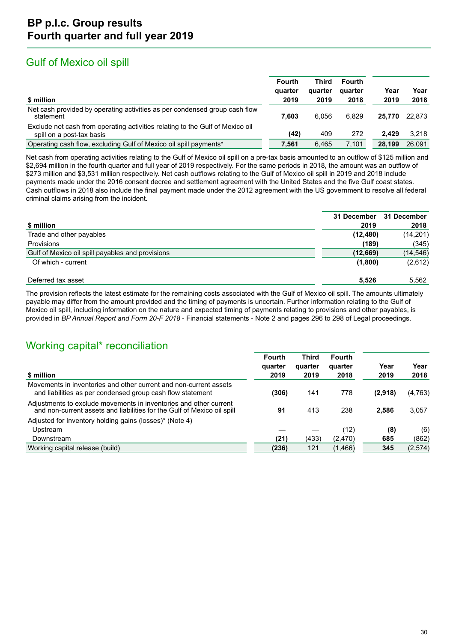## Gulf of Mexico oil spill

| \$ million                                                                                                 | Fourth<br>auarter<br>2019 | Third<br>quarter<br>2019 | <b>Fourth</b><br>auarter<br>2018 | Year<br>2019 | Year<br>2018 |
|------------------------------------------------------------------------------------------------------------|---------------------------|--------------------------|----------------------------------|--------------|--------------|
| Net cash provided by operating activities as per condensed group cash flow<br>statement                    | 7.603                     | 6.056                    | 6.829                            | 25.770       | 22.873       |
| Exclude net cash from operating activities relating to the Gulf of Mexico oil<br>spill on a post-tax basis | (42)                      | 409                      | 272                              | 2.429        | 3.218        |
| Operating cash flow, excluding Gulf of Mexico oil spill payments*                                          | 7.561                     | 6.465                    | 7.101                            | 28.199       | 26.091       |

Net cash from operating activities relating to the Gulf of Mexico oil spill on a pre-tax basis amounted to an outflow of \$125 million and \$2,694 million in the fourth quarter and full year of 2019 respectively. For the same periods in 2018, the amount was an outflow of \$273 million and \$3,531 million respectively. Net cash outflows relating to the Gulf of Mexico oil spill in 2019 and 2018 include payments made under the 2016 consent decree and settlement agreement with the United States and the five Gulf coast states. Cash outflows in 2018 also include the final payment made under the 2012 agreement with the US government to resolve all federal criminal claims arising from the incident.

|                                                  | 31 December | 31 December |
|--------------------------------------------------|-------------|-------------|
| \$ million                                       | 2019        | 2018        |
| Trade and other payables                         | (12, 480)   | (14,201)    |
| Provisions                                       | (189)       | (345)       |
| Gulf of Mexico oil spill payables and provisions | (12,669)    | (14, 546)   |
| Of which - current                               | (1,800)     | (2,612)     |
| Deferred tax asset                               | 5,526       | 5,562       |

The provision reflects the latest estimate for the remaining costs associated with the Gulf of Mexico oil spill. The amounts ultimately payable may differ from the amount provided and the timing of payments is uncertain. Further information relating to the Gulf of Mexico oil spill, including information on the nature and expected timing of payments relating to provisions and other payables, is provided in *BP Annual Report and Form 20-F 2018* - Financial statements - Note 2 and pages 296 to 298 of Legal proceedings.

### Working capital\* reconciliation

| \$ million                                                                                                                                   | Fourth<br>quarter<br>2019 | <b>Third</b><br>quarter<br>2019 | <b>Fourth</b><br>quarter<br>2018 | Year<br>2019 | Year<br>2018 |
|----------------------------------------------------------------------------------------------------------------------------------------------|---------------------------|---------------------------------|----------------------------------|--------------|--------------|
| Movements in inventories and other current and non-current assets<br>and liabilities as per condensed group cash flow statement              | (306)                     | 141                             | 778                              | (2,918)      | (4, 763)     |
| Adjustments to exclude movements in inventories and other current<br>and non-current assets and liabilities for the Gulf of Mexico oil spill | 91                        | 413                             | 238                              | 2.586        | 3,057        |
| Adjusted for Inventory holding gains (losses)* (Note 4)                                                                                      |                           |                                 |                                  |              |              |
| Upstream                                                                                                                                     |                           |                                 | (12)                             | (8)          | (6)          |
| Downstream                                                                                                                                   | (21)                      | (433)                           | (2,470)                          | 685          | (862)        |
| Working capital release (build)                                                                                                              | (236)                     | 121                             | (1, 466)                         | 345          | (2, 574)     |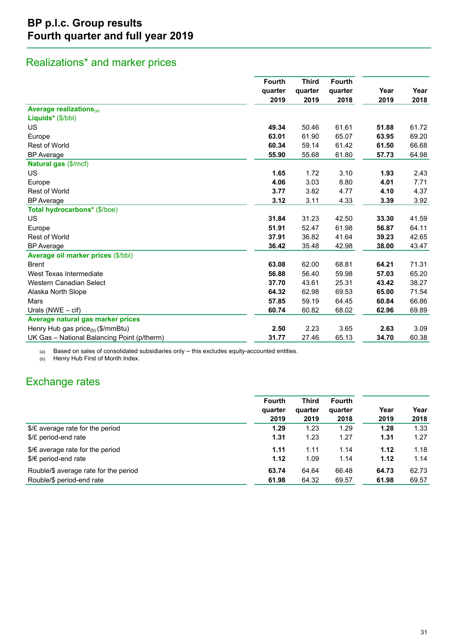# **BP p.l.c. Group results Fourth quarter and full year 2019**

# Realizations\* and marker prices

|                                               | <b>Fourth</b><br>quarter<br>2019 | <b>Third</b><br>quarter<br>2019 | <b>Fourth</b><br>quarter<br>2018 | Year<br>2019 | Year<br>2018 |
|-----------------------------------------------|----------------------------------|---------------------------------|----------------------------------|--------------|--------------|
| Average realizations $_{(a)}$                 |                                  |                                 |                                  |              |              |
| Liquids $*(\$\mathsf{bbl})$                   |                                  |                                 |                                  |              |              |
| US                                            | 49.34                            | 50.46                           | 61.61                            | 51.88        | 61.72        |
| Europe                                        | 63.01                            | 61.90                           | 65.07                            | 63.95        | 69.20        |
| <b>Rest of World</b>                          | 60.34                            | 59.14                           | 61.42                            | 61.50        | 66.68        |
| <b>BP</b> Average                             | 55.90                            | 55.68                           | 61.80                            | 57.73        | 64.98        |
| Natural gas (\$/mcf)                          |                                  |                                 |                                  |              |              |
| US                                            | 1.65                             | 1.72                            | 3.10                             | 1.93         | 2.43         |
| Europe                                        | 4.06                             | 3.03                            | 8.80                             | 4.01         | 7.71         |
| <b>Rest of World</b>                          | 3.77                             | 3.82                            | 4.77                             | 4.10         | 4.37         |
| <b>BP</b> Average                             | 3.12                             | 3.11                            | 4.33                             | 3.39         | 3.92         |
| Total hydrocarbons* (\$/boe)                  |                                  |                                 |                                  |              |              |
| US                                            | 31.84                            | 31.23                           | 42.50                            | 33.30        | 41.59        |
| Europe                                        | 51.91                            | 52.47                           | 61.98                            | 56.87        | 64.11        |
| <b>Rest of World</b>                          | 37.91                            | 36.82                           | 41.64                            | 39.23        | 42.65        |
| <b>BP</b> Average                             | 36.42                            | 35.48                           | 42.98                            | 38.00        | 43.47        |
| Average oil marker prices (\$/bbl)            |                                  |                                 |                                  |              |              |
| <b>Brent</b>                                  | 63.08                            | 62.00                           | 68.81                            | 64.21        | 71.31        |
| West Texas Intermediate                       | 56.88                            | 56.40                           | 59.98                            | 57.03        | 65.20        |
| Western Canadian Select                       | 37.70                            | 43.61                           | 25.31                            | 43.42        | 38.27        |
| Alaska North Slope                            | 64.32                            | 62.98                           | 69.53                            | 65.00        | 71.54        |
| Mars                                          | 57.85                            | 59.19                           | 64.45                            | 60.84        | 66.86        |
| Urals ( $NWE - \text{cif}$ )                  | 60.74                            | 60.82                           | 68.02                            | 62.96        | 69.89        |
| Average natural gas marker prices             |                                  |                                 |                                  |              |              |
| Henry Hub gas price <sub>(b)</sub> (\$/mmBtu) | 2.50                             | 2.23                            | 3.65                             | 2.63         | 3.09         |
| UK Gas - National Balancing Point (p/therm)   | 31.77                            | 27.46                           | 65.13                            | 34.70        | 60.38        |

(a) Based on sales of consolidated subsidiaries only – this excludes equity-accounted entities.

(b) Henry Hub First of Month Index.

### Exchange rates

|                                           | <b>Fourth</b><br>quarter<br>2019 | <b>Third</b><br>quarter<br>2019 | <b>Fourth</b><br>quarter<br>2018 | Year<br>2019 | Year<br>2018 |
|-------------------------------------------|----------------------------------|---------------------------------|----------------------------------|--------------|--------------|
| \$/£ average rate for the period          | 1.29                             | 1.23                            | 1.29                             | 1.28         | 1.33         |
| \$/£ period-end rate                      | 1.31                             | 1.23                            | 1.27                             | 1.31         | 1.27         |
| $\frac{1}{2}$ average rate for the period | 1.11                             | 1.11                            | 1.14                             | 1.12         | 1.18         |
| $\frac{1}{2}$ period-end rate             | 1.12                             | 1.09                            | 1.14                             | 1.12         | 1.14         |
| Rouble/\$ average rate for the period     | 63.74                            | 64.64                           | 66.48                            | 64.73        | 62.73        |
| Rouble/\$ period-end rate                 | 61.98                            | 64.32                           | 69.57                            | 61.98        | 69.57        |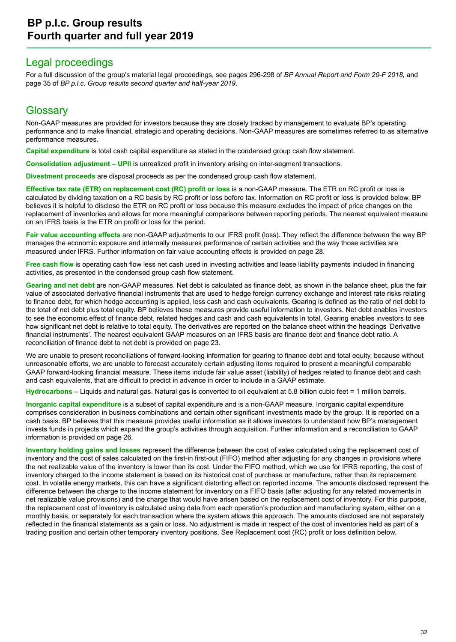### Legal proceedings

For a full discussion of the group's material legal proceedings, see pages 296-298 of *BP Annual Report and Form 20-F 2018*, and page 35 of *BP p.l.c. Group results second quarter and half-year 2019*.

### **Glossary**

Non-GAAP measures are provided for investors because they are closely tracked by management to evaluate BP's operating performance and to make financial, strategic and operating decisions. Non-GAAP measures are sometimes referred to as alternative performance measures.

**Capital expenditure** is total cash capital expenditure as stated in the condensed group cash flow statement.

**Consolidation adjustment – UPII** is unrealized profit in inventory arising on inter-segment transactions.

**Divestment proceeds** are disposal proceeds as per the condensed group cash flow statement.

**Effective tax rate (ETR) on replacement cost (RC) profit or loss** is a non-GAAP measure. The ETR on RC profit or loss is calculated by dividing taxation on a RC basis by RC profit or loss before tax. Information on RC profit or loss is provided below. BP believes it is helpful to disclose the ETR on RC profit or loss because this measure excludes the impact of price changes on the replacement of inventories and allows for more meaningful comparisons between reporting periods. The nearest equivalent measure on an IFRS basis is the ETR on profit or loss for the period.

**Fair value accounting effects** are non-GAAP adjustments to our IFRS profit (loss). They reflect the difference between the way BP manages the economic exposure and internally measures performance of certain activities and the way those activities are measured under IFRS. Further information on fair value accounting effects is provided on page 28.

**Free cash flow** is operating cash flow less net cash used in investing activities and lease liability payments included in financing activities, as presented in the condensed group cash flow statement.

**Gearing and net debt** are non-GAAP measures. Net debt is calculated as finance debt, as shown in the balance sheet, plus the fair value of associated derivative financial instruments that are used to hedge foreign currency exchange and interest rate risks relating to finance debt, for which hedge accounting is applied, less cash and cash equivalents. Gearing is defined as the ratio of net debt to the total of net debt plus total equity. BP believes these measures provide useful information to investors. Net debt enables investors to see the economic effect of finance debt, related hedges and cash and cash equivalents in total. Gearing enables investors to see how significant net debt is relative to total equity. The derivatives are reported on the balance sheet within the headings 'Derivative financial instruments'. The nearest equivalent GAAP measures on an IFRS basis are finance debt and finance debt ratio. A reconciliation of finance debt to net debt is provided on page 23.

We are unable to present reconciliations of forward-looking information for gearing to finance debt and total equity, because without unreasonable efforts, we are unable to forecast accurately certain adjusting items required to present a meaningful comparable GAAP forward-looking financial measure. These items include fair value asset (liability) of hedges related to finance debt and cash and cash equivalents, that are difficult to predict in advance in order to include in a GAAP estimate.

**Hydrocarbons** – Liquids and natural gas. Natural gas is converted to oil equivalent at 5.8 billion cubic feet = 1 million barrels.

**Inorganic capital expenditure** is a subset of capital expenditure and is a non-GAAP measure. Inorganic capital expenditure comprises consideration in business combinations and certain other significant investments made by the group. It is reported on a cash basis. BP believes that this measure provides useful information as it allows investors to understand how BP's management invests funds in projects which expand the group's activities through acquisition. Further information and a reconciliation to GAAP information is provided on page 26.

**Inventory holding gains and losses** represent the difference between the cost of sales calculated using the replacement cost of inventory and the cost of sales calculated on the first-in first-out (FIFO) method after adjusting for any changes in provisions where the net realizable value of the inventory is lower than its cost. Under the FIFO method, which we use for IFRS reporting, the cost of inventory charged to the income statement is based on its historical cost of purchase or manufacture, rather than its replacement cost. In volatile energy markets, this can have a significant distorting effect on reported income. The amounts disclosed represent the difference between the charge to the income statement for inventory on a FIFO basis (after adjusting for any related movements in net realizable value provisions) and the charge that would have arisen based on the replacement cost of inventory. For this purpose, the replacement cost of inventory is calculated using data from each operation's production and manufacturing system, either on a monthly basis, or separately for each transaction where the system allows this approach. The amounts disclosed are not separately reflected in the financial statements as a gain or loss. No adjustment is made in respect of the cost of inventories held as part of a trading position and certain other temporary inventory positions. See Replacement cost (RC) profit or loss definition below.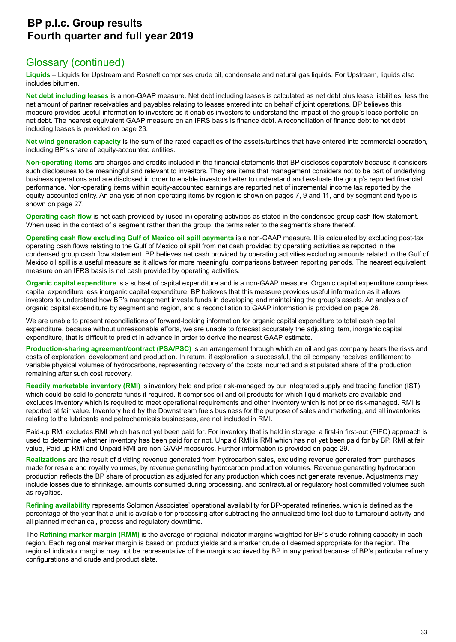### Glossary (continued)

**Liquids** – Liquids for Upstream and Rosneft comprises crude oil, condensate and natural gas liquids. For Upstream, liquids also includes bitumen.

**Net debt including leases** is a non-GAAP measure. Net debt including leases is calculated as net debt plus lease liabilities, less the net amount of partner receivables and payables relating to leases entered into on behalf of joint operations. BP believes this measure provides useful information to investors as it enables investors to understand the impact of the group's lease portfolio on net debt. The nearest equivalent GAAP measure on an IFRS basis is finance debt. A reconciliation of finance debt to net debt including leases is provided on page 23.

**Net wind generation capacity** is the sum of the rated capacities of the assets/turbines that have entered into commercial operation, including BP's share of equity-accounted entities.

**Non-operating items** are charges and credits included in the financial statements that BP discloses separately because it considers such disclosures to be meaningful and relevant to investors. They are items that management considers not to be part of underlying business operations and are disclosed in order to enable investors better to understand and evaluate the group's reported financial performance. Non-operating items within equity-accounted earnings are reported net of incremental income tax reported by the equity-accounted entity. An analysis of non-operating items by region is shown on pages 7, 9 and 11, and by segment and type is shown on page 27.

**Operating cash flow** is net cash provided by (used in) operating activities as stated in the condensed group cash flow statement. When used in the context of a segment rather than the group, the terms refer to the segment's share thereof.

**Operating cash flow excluding Gulf of Mexico oil spill payments** is a non-GAAP measure. It is calculated by excluding post-tax operating cash flows relating to the Gulf of Mexico oil spill from net cash provided by operating activities as reported in the condensed group cash flow statement. BP believes net cash provided by operating activities excluding amounts related to the Gulf of Mexico oil spill is a useful measure as it allows for more meaningful comparisons between reporting periods. The nearest equivalent measure on an IFRS basis is net cash provided by operating activities.

**Organic capital expenditure** is a subset of capital expenditure and is a non-GAAP measure. Organic capital expenditure comprises capital expenditure less inorganic capital expenditure. BP believes that this measure provides useful information as it allows investors to understand how BP's management invests funds in developing and maintaining the group's assets. An analysis of organic capital expenditure by segment and region, and a reconciliation to GAAP information is provided on page 26.

We are unable to present reconciliations of forward-looking information for organic capital expenditure to total cash capital expenditure, because without unreasonable efforts, we are unable to forecast accurately the adjusting item, inorganic capital expenditure, that is difficult to predict in advance in order to derive the nearest GAAP estimate.

**Production-sharing agreement/contract (PSA/PSC)** is an arrangement through which an oil and gas company bears the risks and costs of exploration, development and production. In return, if exploration is successful, the oil company receives entitlement to variable physical volumes of hydrocarbons, representing recovery of the costs incurred and a stipulated share of the production remaining after such cost recovery.

**Readily marketable inventory (RMI)** is inventory held and price risk-managed by our integrated supply and trading function (IST) which could be sold to generate funds if required. It comprises oil and oil products for which liquid markets are available and excludes inventory which is required to meet operational requirements and other inventory which is not price risk-managed. RMI is reported at fair value. Inventory held by the Downstream fuels business for the purpose of sales and marketing, and all inventories relating to the lubricants and petrochemicals businesses, are not included in RMI.

Paid-up RMI excludes RMI which has not yet been paid for. For inventory that is held in storage, a first-in first-out (FIFO) approach is used to determine whether inventory has been paid for or not. Unpaid RMI is RMI which has not yet been paid for by BP. RMI at fair value, Paid-up RMI and Unpaid RMI are non-GAAP measures. Further information is provided on page 29.

**Realizations** are the result of dividing revenue generated from hydrocarbon sales, excluding revenue generated from purchases made for resale and royalty volumes, by revenue generating hydrocarbon production volumes. Revenue generating hydrocarbon production reflects the BP share of production as adjusted for any production which does not generate revenue. Adjustments may include losses due to shrinkage, amounts consumed during processing, and contractual or regulatory host committed volumes such as royalties.

**Refining availability** represents Solomon Associates' operational availability for BP-operated refineries, which is defined as the percentage of the year that a unit is available for processing after subtracting the annualized time lost due to turnaround activity and all planned mechanical, process and regulatory downtime.

The **Refining marker margin (RMM)** is the average of regional indicator margins weighted for BP's crude refining capacity in each region. Each regional marker margin is based on product yields and a marker crude oil deemed appropriate for the region. The regional indicator margins may not be representative of the margins achieved by BP in any period because of BP's particular refinery configurations and crude and product slate.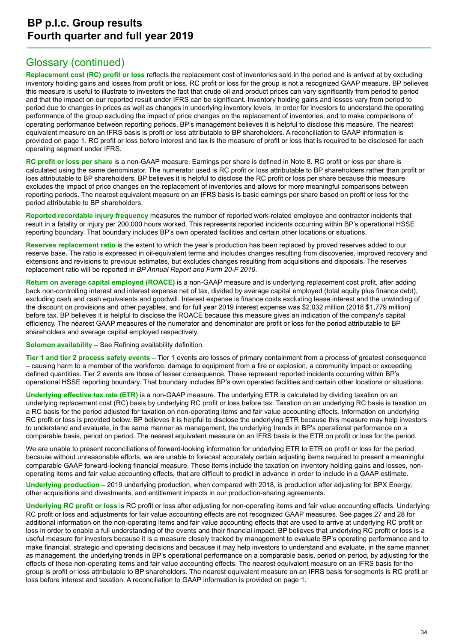### Glossary (continued)

**Replacement cost (RC) profit or loss** reflects the replacement cost of inventories sold in the period and is arrived at by excluding inventory holding gains and losses from profit or loss. RC profit or loss for the group is not a recognized GAAP measure. BP believes this measure is useful to illustrate to investors the fact that crude oil and product prices can vary significantly from period to period and that the impact on our reported result under IFRS can be significant. Inventory holding gains and losses vary from period to period due to changes in prices as well as changes in underlying inventory levels. In order for investors to understand the operating performance of the group excluding the impact of price changes on the replacement of inventories, and to make comparisons of operating performance between reporting periods, BP's management believes it is helpful to disclose this measure. The nearest equivalent measure on an IFRS basis is profit or loss attributable to BP shareholders. A reconciliation to GAAP information is provided on page 1. RC profit or loss before interest and tax is the measure of profit or loss that is required to be disclosed for each operating segment under IFRS.

**RC profit or loss per share** is a non-GAAP measure. Earnings per share is defined in Note 8. RC profit or loss per share is calculated using the same denominator. The numerator used is RC profit or loss attributable to BP shareholders rather than profit or loss attributable to BP shareholders. BP believes it is helpful to disclose the RC profit or loss per share because this measure excludes the impact of price changes on the replacement of inventories and allows for more meaningful comparisons between reporting periods. The nearest equivalent measure on an IFRS basis is basic earnings per share based on profit or loss for the period attributable to BP shareholders.

**Reported recordable injury frequency** measures the number of reported work-related employee and contractor incidents that result in a fatality or injury per 200,000 hours worked. This represents reported incidents occurring within BP's operational HSSE reporting boundary. That boundary includes BP's own operated facilities and certain other locations or situations.

**Reserves replacement ratio** is the extent to which the year's production has been replaced by proved reserves added to our reserve base. The ratio is expressed in oil-equivalent terms and includes changes resulting from discoveries, improved recovery and extensions and revisions to previous estimates, but excludes changes resulting from acquisitions and disposals. The reserves replacement ratio will be reported in *BP Annual Report and Form 20-F 2019*.

**Return on average capital employed (ROACE)** is a non-GAAP measure and is underlying replacement cost profit, after adding back non-controlling interest and interest expense net of tax, divided by average capital employed (total equity plus finance debt), excluding cash and cash equivalents and goodwill. Interest expense is finance costs excluding lease interest and the unwinding of the discount on provisions and other payables, and for full year 2019 interest expense was \$2,032 million (2018 \$1,779 million) before tax. BP believes it is helpful to disclose the ROACE because this measure gives an indication of the company's capital efficiency. The nearest GAAP measures of the numerator and denominator are profit or loss for the period attributable to BP shareholders and average capital employed respectively.

**Solomon availability** – See Refining availability definition.

**Tier 1 and tier 2 process safety events** – Tier 1 events are losses of primary containment from a process of greatest consequence – causing harm to a member of the workforce, damage to equipment from a fire or explosion, a community impact or exceeding defined quantities. Tier 2 events are those of lesser consequence. These represent reported incidents occurring within BP's operational HSSE reporting boundary. That boundary includes BP's own operated facilities and certain other locations or situations.

**Underlying effective tax rate (ETR)** is a non-GAAP measure. The underlying ETR is calculated by dividing taxation on an underlying replacement cost (RC) basis by underlying RC profit or loss before tax. Taxation on an underlying RC basis is taxation on a RC basis for the period adjusted for taxation on non-operating items and fair value accounting effects. Information on underlying RC profit or loss is provided below. BP believes it is helpful to disclose the underlying ETR because this measure may help investors to understand and evaluate, in the same manner as management, the underlying trends in BP's operational performance on a comparable basis, period on period. The nearest equivalent measure on an IFRS basis is the ETR on profit or loss for the period.

We are unable to present reconciliations of forward-looking information for underlying ETR to ETR on profit or loss for the period, because without unreasonable efforts, we are unable to forecast accurately certain adjusting items required to present a meaningful comparable GAAP forward-looking financial measure. These items include the taxation on inventory holding gains and losses, nonoperating items and fair value accounting effects, that are difficult to predict in advance in order to include in a GAAP estimate.

**Underlying production** – 2019 underlying production, when compared with 2018, is production after adjusting for BPX Energy, other acquisitions and divestments, and entitlement impacts in our production-sharing agreements.

**Underlying RC profit or loss** is RC profit or loss after adjusting for non-operating items and fair value accounting effects. Underlying RC profit or loss and adjustments for fair value accounting effects are not recognized GAAP measures. See pages 27 and 28 for additional information on the non-operating items and fair value accounting effects that are used to arrive at underlying RC profit or loss in order to enable a full understanding of the events and their financial impact. BP believes that underlying RC profit or loss is a useful measure for investors because it is a measure closely tracked by management to evaluate BP's operating performance and to make financial, strategic and operating decisions and because it may help investors to understand and evaluate, in the same manner as management, the underlying trends in BP's operational performance on a comparable basis, period on period, by adjusting for the effects of these non-operating items and fair value accounting effects. The nearest equivalent measure on an IFRS basis for the group is profit or loss attributable to BP shareholders. The nearest equivalent measure on an IFRS basis for segments is RC profit or loss before interest and taxation. A reconciliation to GAAP information is provided on page 1.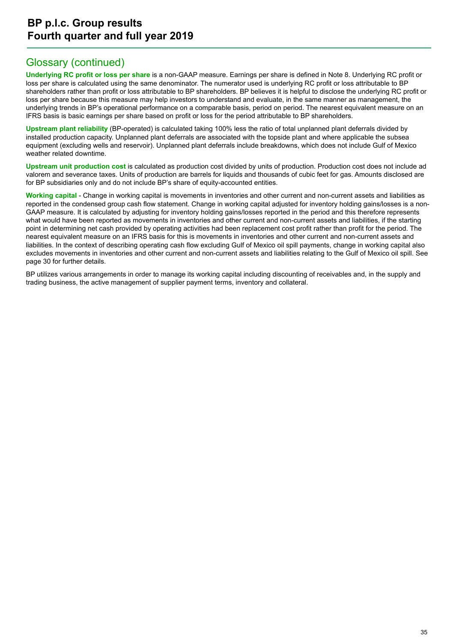### Glossary (continued)

**Underlying RC profit or loss per share** is a non-GAAP measure. Earnings per share is defined in Note 8. Underlying RC profit or loss per share is calculated using the same denominator. The numerator used is underlying RC profit or loss attributable to BP shareholders rather than profit or loss attributable to BP shareholders. BP believes it is helpful to disclose the underlying RC profit or loss per share because this measure may help investors to understand and evaluate, in the same manner as management, the underlying trends in BP's operational performance on a comparable basis, period on period. The nearest equivalent measure on an IFRS basis is basic earnings per share based on profit or loss for the period attributable to BP shareholders.

**Upstream plant reliability** (BP-operated) is calculated taking 100% less the ratio of total unplanned plant deferrals divided by installed production capacity. Unplanned plant deferrals are associated with the topside plant and where applicable the subsea equipment (excluding wells and reservoir). Unplanned plant deferrals include breakdowns, which does not include Gulf of Mexico weather related downtime.

**Upstream unit production cost** is calculated as production cost divided by units of production. Production cost does not include ad valorem and severance taxes. Units of production are barrels for liquids and thousands of cubic feet for gas. Amounts disclosed are for BP subsidiaries only and do not include BP's share of equity-accounted entities.

**Working capital** - Change in working capital is movements in inventories and other current and non-current assets and liabilities as reported in the condensed group cash flow statement. Change in working capital adjusted for inventory holding gains/losses is a non-GAAP measure. It is calculated by adjusting for inventory holding gains/losses reported in the period and this therefore represents what would have been reported as movements in inventories and other current and non-current assets and liabilities, if the starting point in determining net cash provided by operating activities had been replacement cost profit rather than profit for the period. The nearest equivalent measure on an IFRS basis for this is movements in inventories and other current and non-current assets and liabilities. In the context of describing operating cash flow excluding Gulf of Mexico oil spill payments, change in working capital also excludes movements in inventories and other current and non-current assets and liabilities relating to the Gulf of Mexico oil spill. See page 30 for further details.

BP utilizes various arrangements in order to manage its working capital including discounting of receivables and, in the supply and trading business, the active management of supplier payment terms, inventory and collateral.